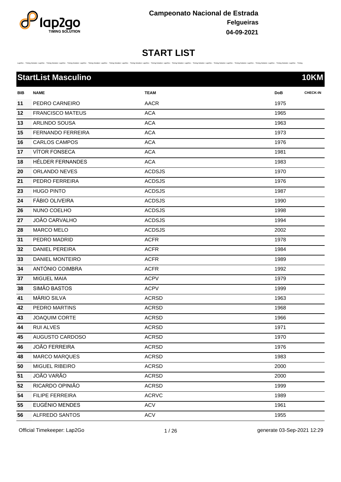

#### **START LIST** Lap2Go - Trining Solution Lap2Go - Trining Solution Lap2Go - Trining Solution Lap2Go - Trining Solution Lap2Go - Trining Solution Lap2Go - Trining Solution Lap2Go - Trining Solution Lap2Go - Trining Solution Lap2Go - Trini

|     | <b>StartList Masculino</b> |               | <b>10KM</b>                   |
|-----|----------------------------|---------------|-------------------------------|
| BIB | <b>NAME</b>                | <b>TEAM</b>   | <b>CHECK-IN</b><br><b>DoB</b> |
| 11  | PEDRO CARNEIRO             | <b>AACR</b>   | 1975                          |
| 12  | <b>FRANCISCO MATEUS</b>    | <b>ACA</b>    | 1965                          |
| 13  | ARLINDO SOUSA              | <b>ACA</b>    | 1963                          |
| 15  | <b>FERNANDO FERREIRA</b>   | <b>ACA</b>    | 1973                          |
| 16  | <b>CARLOS CAMPOS</b>       | <b>ACA</b>    | 1976                          |
| 17  | <b>VÍTOR FONSECA</b>       | <b>ACA</b>    | 1981                          |
| 18  | HÉLDER FERNANDES           | <b>ACA</b>    | 1983                          |
| 20  | ORLANDO NEVES              | <b>ACDSJS</b> | 1970                          |
| 21  | PEDRO FERREIRA             | <b>ACDSJS</b> | 1976                          |
| 23  | <b>HUGO PINTO</b>          | <b>ACDSJS</b> | 1987                          |
| 24  | <b>FÁBIO OLIVEIRA</b>      | <b>ACDSJS</b> | 1990                          |
| 26  | NUNO COELHO                | <b>ACDSJS</b> | 1998                          |
| 27  | JOÃO CARVALHO              | <b>ACDSJS</b> | 1994                          |
| 28  | <b>MARCO MELO</b>          | <b>ACDSJS</b> | 2002                          |
| 31  | PEDRO MADRID               | <b>ACFR</b>   | 1978                          |
| 32  | <b>DANIEL PEREIRA</b>      | <b>ACFR</b>   | 1984                          |
| 33  | DANIEL MONTEIRO            | <b>ACFR</b>   | 1989                          |
| 34  | ANTÓNIO COIMBRA            | <b>ACFR</b>   | 1992                          |
| 37  | MIGUEL MAIA                | <b>ACPV</b>   | 1979                          |
| 38  | <b>SIMÃO BASTOS</b>        | <b>ACPV</b>   | 1999                          |
| 41  | MÁRIO SILVA                | <b>ACRSD</b>  | 1963                          |
| 42  | PEDRO MARTINS              | <b>ACRSD</b>  | 1968                          |
| 43  | <b>JOAQUIM CORTE</b>       | <b>ACRSD</b>  | 1966                          |
| 44  | <b>RUI ALVES</b>           | <b>ACRSD</b>  | 1971                          |
| 45  | AUGUSTO CARDOSO            | <b>ACRSD</b>  | 1970                          |
| 46  | <b>JOÃO FERREIRA</b>       | <b>ACRSD</b>  | 1976                          |
| 48  | <b>MARCO MARQUES</b>       | <b>ACRSD</b>  | 1983                          |
| 50  | MIGUEL RIBEIRO             | <b>ACRSD</b>  | 2000                          |
| 51  | JOÃO VARÃO                 | <b>ACRSD</b>  | 2000                          |
| 52  | RICARDO OPINIÃO            | <b>ACRSD</b>  | 1999                          |
| 54  | FILIPE FERREIRA            | <b>ACRVC</b>  | 1989                          |
| 55  | EUGÉNIO MENDES             | <b>ACV</b>    | 1961                          |
| 56  | ALFREDO SANTOS             | <b>ACV</b>    | 1955                          |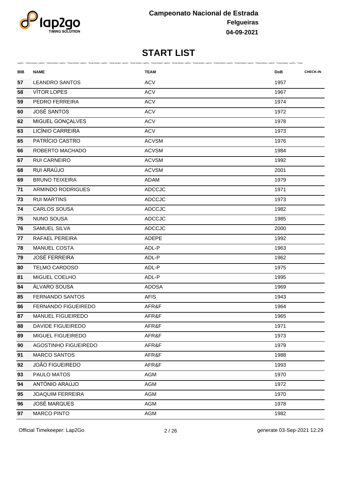

| BIB | <b>NAME</b>                 | Lap2Go - Timing Solution Lap2Go - Timing Solution Lap2Go - Timing Solution Lap2Go - Timing Solution Lap2Go - Timing Solution Lap2Go - Timing Solution Lap2Go - Timing Solution Lap2Go - Timing Solution Lap2Go - Timing Soluti<br><b>TEAM</b> | <b>DoB</b> | <b>CHECK-IN</b> |
|-----|-----------------------------|-----------------------------------------------------------------------------------------------------------------------------------------------------------------------------------------------------------------------------------------------|------------|-----------------|
| 57  | <b>LEANDRO SANTOS</b>       | <b>ACV</b>                                                                                                                                                                                                                                    | 1957       |                 |
| 58  | <b>VÍTOR LOPES</b>          | <b>ACV</b>                                                                                                                                                                                                                                    | 1967       |                 |
| 59  | PEDRO FERREIRA              | <b>ACV</b>                                                                                                                                                                                                                                    | 1974       |                 |
| 60  | <b>JOSÉ SANTOS</b>          | <b>ACV</b>                                                                                                                                                                                                                                    | 1972       |                 |
| 62  | MIGUEL GONÇALVES            | <b>ACV</b>                                                                                                                                                                                                                                    | 1978       |                 |
| 63  | LICÍNIO CARREIRA            | <b>ACV</b>                                                                                                                                                                                                                                    | 1973       |                 |
| 65  | PATRÍCIO CASTRO             | <b>ACVSM</b>                                                                                                                                                                                                                                  | 1976       |                 |
| 66  | ROBERTO MACHADO             | <b>ACVSM</b>                                                                                                                                                                                                                                  | 1984       |                 |
| 67  | RUI CARNEIRO                | <b>ACVSM</b>                                                                                                                                                                                                                                  | 1992       |                 |
| 68  | RUI ARAÚJO                  | <b>ACVSM</b>                                                                                                                                                                                                                                  | 2001       |                 |
| 69  | <b>BRUNO TEIXEIRA</b>       | <b>ADAM</b>                                                                                                                                                                                                                                   | 1979       |                 |
| 71  | <b>ARMINDO RODRIGUES</b>    | <b>ADCCJC</b>                                                                                                                                                                                                                                 | 1971       |                 |
| 73  | <b>RUI MARTINS</b>          | <b>ADCCJC</b>                                                                                                                                                                                                                                 | 1973       |                 |
| 74  | CARLOS SOUSA                | <b>ADCCJC</b>                                                                                                                                                                                                                                 | 1982       |                 |
| 75  | <b>NUNO SOUSA</b>           | <b>ADCCJC</b>                                                                                                                                                                                                                                 | 1985       |                 |
| 76  | SAMUEL SILVA                | <b>ADCCJC</b>                                                                                                                                                                                                                                 | 2000       |                 |
| 77  | RAFAEL PEREIRA              | ADEPE                                                                                                                                                                                                                                         | 1992       |                 |
| 78  | <b>MANUEL COSTA</b>         | ADL-P                                                                                                                                                                                                                                         | 1963       |                 |
| 79  | <b>JOSÉ FERREIRA</b>        | ADL-P                                                                                                                                                                                                                                         | 1962       |                 |
| 80  | TELMO CARDOSO               | ADL-P                                                                                                                                                                                                                                         | 1975       |                 |
| 81  | MIGUEL COELHO               | ADL-P                                                                                                                                                                                                                                         | 1995       |                 |
| 84  | ÁLVARO SOUSA                | <b>ADOSA</b>                                                                                                                                                                                                                                  | 1969       |                 |
| 85  | <b>FERNANDO SANTOS</b>      | <b>AFIS</b>                                                                                                                                                                                                                                   | 1943       |                 |
| 86  | FERNANDO FIGUEIREDO         | AFR&F                                                                                                                                                                                                                                         | 1964       |                 |
| 87  | MANUEL FIGUEIREDO           | AFR&F                                                                                                                                                                                                                                         | 1965       |                 |
| 88  | DAVIDE FIGUEIREDO           | AFR&F                                                                                                                                                                                                                                         | 1971       |                 |
| 89  | MIGUEL FIGUEIREDO           | AFR&F                                                                                                                                                                                                                                         | 1973       |                 |
| 90  | <b>AGOSTINHO FIGUEIREDO</b> | AFR&F                                                                                                                                                                                                                                         | 1979       |                 |
| 91  | <b>MARCO SANTOS</b>         | AFR&F                                                                                                                                                                                                                                         | 1988       |                 |
| 92  | <b>JOÃO FIGUEIREDO</b>      | AFR&F                                                                                                                                                                                                                                         | 1993       |                 |
| 93  | PAULO MATOS                 | AGM                                                                                                                                                                                                                                           | 1970       |                 |
| 94  | ANTÓNIO ARAÚJO              | AGM                                                                                                                                                                                                                                           | 1972       |                 |
| 95  | <b>JOAQUIM FERREIRA</b>     | AGM                                                                                                                                                                                                                                           | 1970       |                 |
| 96  | <b>JOSÉ MARQUES</b>         | AGM                                                                                                                                                                                                                                           | 1978       |                 |
| 97  | <b>MARCO PINTO</b>          | AGM                                                                                                                                                                                                                                           | 1982       |                 |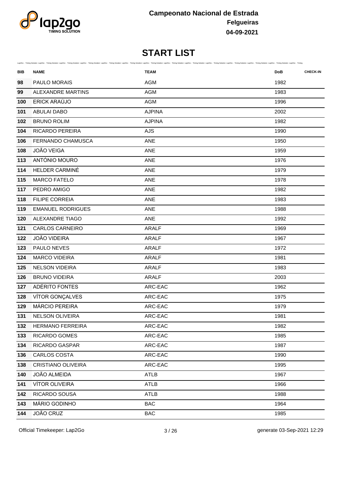

| BIB | <b>NAME</b>               | Lap2Go - Timing Solution Lap2Go - Timing Solution Lap2Go - Timing Solution Lap2Go - Timing Solution Lap2Go - Timing Solution Lap2Go - Timing Solution Lap2Go - Timing Solution Lap2Go - Timing Solution Lap2Go - Timing Soluti<br><b>TEAM</b> | <b>CHECK-IN</b><br><b>DoB</b> |
|-----|---------------------------|-----------------------------------------------------------------------------------------------------------------------------------------------------------------------------------------------------------------------------------------------|-------------------------------|
| 98  | PAULO MORAIS              | <b>AGM</b>                                                                                                                                                                                                                                    | 1982                          |
| 99  | <b>ALEXANDRE MARTINS</b>  | <b>AGM</b>                                                                                                                                                                                                                                    | 1983                          |
| 100 | ERICK ARAÚJO              | AGM                                                                                                                                                                                                                                           | 1996                          |
| 101 | <b>ABULAI DABO</b>        | <b>AJPINA</b>                                                                                                                                                                                                                                 | 2002                          |
| 102 | <b>BRUNO ROLIM</b>        | <b>AJPINA</b>                                                                                                                                                                                                                                 | 1982                          |
| 104 | RICARDO PEREIRA           | <b>AJS</b>                                                                                                                                                                                                                                    | 1990                          |
| 106 | FERNANDO CHAMUSCA         | <b>ANE</b>                                                                                                                                                                                                                                    | 1950                          |
| 108 | <b>JOÃO VEIGA</b>         | ANE                                                                                                                                                                                                                                           | 1959                          |
| 113 | ANTÓNIO MOURO             | <b>ANE</b>                                                                                                                                                                                                                                    | 1976                          |
| 114 | HELDER CARMINÉ            | ANE                                                                                                                                                                                                                                           | 1979                          |
| 115 | <b>MARCO FATELO</b>       | ANE                                                                                                                                                                                                                                           | 1978                          |
| 117 | PEDRO AMIGO               | ANE                                                                                                                                                                                                                                           | 1982                          |
| 118 | FILIPE CORREIA            | ANE                                                                                                                                                                                                                                           | 1983                          |
| 119 | <b>EMANUEL RODRIGUES</b>  | ANE                                                                                                                                                                                                                                           | 1988                          |
| 120 | <b>ALEXANDRE TIAGO</b>    | ANE                                                                                                                                                                                                                                           | 1992                          |
| 121 | <b>CARLOS CARNEIRO</b>    | <b>ARALF</b>                                                                                                                                                                                                                                  | 1969                          |
| 122 | <b>JOÃO VIDEIRA</b>       | <b>ARALF</b>                                                                                                                                                                                                                                  | 1967                          |
| 123 | PAULO NEVES               | <b>ARALF</b>                                                                                                                                                                                                                                  | 1972                          |
| 124 | <b>MARCO VIDEIRA</b>      | <b>ARALF</b>                                                                                                                                                                                                                                  | 1981                          |
| 125 | <b>NELSON VIDEIRA</b>     | <b>ARALF</b>                                                                                                                                                                                                                                  | 1983                          |
| 126 | <b>BRUNO VIDEIRA</b>      | <b>ARALF</b>                                                                                                                                                                                                                                  | 2003                          |
| 127 | ADÉRITO FONTES            | ARC-EAC                                                                                                                                                                                                                                       | 1962                          |
| 128 | VÍTOR GONÇALVES           | ARC-EAC                                                                                                                                                                                                                                       | 1975                          |
| 129 | MÁRCIO PEREIRA            | ARC-EAC                                                                                                                                                                                                                                       | 1979                          |
| 131 | <b>NELSON OLIVEIRA</b>    | ARC-EAC                                                                                                                                                                                                                                       | 1981                          |
| 132 | HERMANO FERREIRA          | ARC-EAC                                                                                                                                                                                                                                       | 1982                          |
| 133 | RICARDO GOMES             | ARC-EAC                                                                                                                                                                                                                                       | 1985                          |
| 134 | RICARDO GASPAR            | ARC-EAC                                                                                                                                                                                                                                       | 1987                          |
| 136 | <b>CARLOS COSTA</b>       | ARC-EAC                                                                                                                                                                                                                                       | 1990                          |
| 138 | <b>CRISTIANO OLIVEIRA</b> | ARC-EAC                                                                                                                                                                                                                                       | 1995                          |
| 140 | <b>JOÃO ALMEIDA</b>       | <b>ATLB</b>                                                                                                                                                                                                                                   | 1967                          |
| 141 | VÍTOR OLIVEIRA            | ATLB                                                                                                                                                                                                                                          | 1966                          |
| 142 | RICARDO SOUSA             | ATLB                                                                                                                                                                                                                                          | 1988                          |
| 143 | MÁRIO GODINHO             | <b>BAC</b>                                                                                                                                                                                                                                    | 1964                          |
| 144 | JOÃO CRUZ                 | <b>BAC</b>                                                                                                                                                                                                                                    | 1985                          |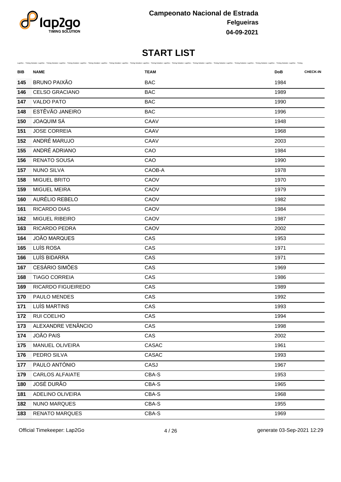

| BIB | Lap2Go - Timing Solution Lap2Go - Timing Solution Lap2Go - Timing Solution Lap2Go - Timing Solution Lap2Go - Timing Solution Lap2Go - Timing Solution Lap2Go - Timing Solution Lap2Go - Timing Solution Lap2Go - Timing Soluti<br><b>NAME</b> | <b>TEAM</b> | <b>CHECK-IN</b><br><b>DoB</b> |
|-----|-----------------------------------------------------------------------------------------------------------------------------------------------------------------------------------------------------------------------------------------------|-------------|-------------------------------|
| 145 | <b>BRUNO PAIXÃO</b>                                                                                                                                                                                                                           | <b>BAC</b>  | 1984                          |
| 146 | <b>CELSO GRACIANO</b>                                                                                                                                                                                                                         | <b>BAC</b>  | 1989                          |
| 147 | <b>VALDO PATO</b>                                                                                                                                                                                                                             | <b>BAC</b>  | 1990                          |
| 148 | ESTÊVÃO JANEIRO                                                                                                                                                                                                                               | <b>BAC</b>  | 1996                          |
| 150 | <b>JOAQUIM SÁ</b>                                                                                                                                                                                                                             | CAAV        | 1948                          |
| 151 | <b>JOSE CORREIA</b>                                                                                                                                                                                                                           | CAAV        | 1968                          |
| 152 | ANDRÉ MARUJO                                                                                                                                                                                                                                  | CAAV        | 2003                          |
| 155 | ANDRÉ ADRIANO                                                                                                                                                                                                                                 | CAO         | 1984                          |
| 156 | <b>RENATO SOUSA</b>                                                                                                                                                                                                                           | CAO         | 1990                          |
| 157 | <b>NUNO SILVA</b>                                                                                                                                                                                                                             | CAOB-A      | 1978                          |
| 158 | <b>MIGUEL BRITO</b>                                                                                                                                                                                                                           | CAOV        | 1970                          |
| 159 | MIGUEL MEIRA                                                                                                                                                                                                                                  | CAOV        | 1979                          |
| 160 | AURÉLIO REBELO                                                                                                                                                                                                                                | CAOV        | 1982                          |
| 161 | RICARDO DIAS                                                                                                                                                                                                                                  | CAOV        | 1984                          |
| 162 | MIGUEL RIBEIRO                                                                                                                                                                                                                                | CAOV        | 1987                          |
| 163 | RICARDO PEDRA                                                                                                                                                                                                                                 | CAOV        | 2002                          |
| 164 | JOÃO MARQUES                                                                                                                                                                                                                                  | CAS         | 1953                          |
| 165 | LUÍS ROSA                                                                                                                                                                                                                                     | CAS         | 1971                          |
| 166 | LUÍS BIDARRA                                                                                                                                                                                                                                  | CAS         | 1971                          |
| 167 | <b>CESÁRIO SIMÕES</b>                                                                                                                                                                                                                         | CAS         | 1969                          |
| 168 | <b>TIAGO CORREIA</b>                                                                                                                                                                                                                          | CAS         | 1986                          |
| 169 | RICARDO FIGUEIREDO                                                                                                                                                                                                                            | CAS         | 1989                          |
| 170 | PAULO MENDES                                                                                                                                                                                                                                  | CAS         | 1992                          |
| 171 | LUÍS MARTINS                                                                                                                                                                                                                                  | CAS         | 1993                          |
| 172 | <b>RUI COELHO</b>                                                                                                                                                                                                                             | CAS         | 1994                          |
| 173 | ALEXANDRE VENÂNCIO                                                                                                                                                                                                                            | CAS         | 1998                          |
| 174 | <b>JOÃO PAIS</b>                                                                                                                                                                                                                              | CAS         | 2002                          |
| 175 | MANUEL OLIVEIRA                                                                                                                                                                                                                               | CASAC       | 1961                          |
| 176 | PEDRO SILVA                                                                                                                                                                                                                                   | CASAC       | 1993                          |
| 177 | PAULO ANTÓNIO                                                                                                                                                                                                                                 | CASJ        | 1967                          |
| 179 | <b>CARLOS ALFAIATE</b>                                                                                                                                                                                                                        | CBA-S       | 1953                          |
| 180 | JOSÉ DURÃO                                                                                                                                                                                                                                    | CBA-S       | 1965                          |
| 181 | ADELINO OLIVEIRA                                                                                                                                                                                                                              | CBA-S       | 1968                          |
| 182 | NUNO MARQUES                                                                                                                                                                                                                                  | CBA-S       | 1955                          |
| 183 | <b>RENATO MARQUES</b>                                                                                                                                                                                                                         | CBA-S       | 1969                          |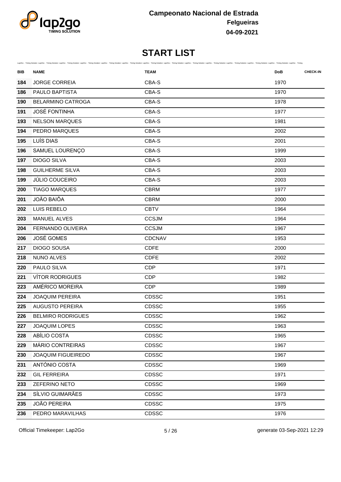

| BIB | Lap2Go - Timing Solution Lap2Go - Timing Solution Lap2Go - Timing Solution Lap2Go - Timing Solution Lap2Go - Timing Solution Lap2Go - Timing Solution Lap2Go - Timing Solution Lap2Go - Timing Solution Lap2Go - Timing Soluti<br><b>NAME</b> | <b>TEAM</b>  | <b>DoB</b> | <b>CHECK-IN</b> |
|-----|-----------------------------------------------------------------------------------------------------------------------------------------------------------------------------------------------------------------------------------------------|--------------|------------|-----------------|
| 184 | <b>JORGE CORREIA</b>                                                                                                                                                                                                                          | CBA-S        | 1970       |                 |
| 186 | PAULO BAPTISTA                                                                                                                                                                                                                                | CBA-S        | 1970       |                 |
| 190 | <b>BELARMINO CATROGA</b>                                                                                                                                                                                                                      | CBA-S        | 1978       |                 |
| 191 | <b>JOSÉ FONTINHA</b>                                                                                                                                                                                                                          | CBA-S        | 1977       |                 |
| 193 | <b>NELSON MARQUES</b>                                                                                                                                                                                                                         | CBA-S        | 1981       |                 |
| 194 | <b>PEDRO MARQUES</b>                                                                                                                                                                                                                          | CBA-S        | 2002       |                 |
| 195 | LUÍS DIAS                                                                                                                                                                                                                                     | CBA-S        | 2001       |                 |
| 196 | SAMUEL LOURENÇO                                                                                                                                                                                                                               | CBA-S        | 1999       |                 |
| 197 | <b>DIOGO SILVA</b>                                                                                                                                                                                                                            | CBA-S        | 2003       |                 |
| 198 | <b>GUILHERME SILVA</b>                                                                                                                                                                                                                        | CBA-S        | 2003       |                 |
| 199 | <b>JÚLIO COUCEIRO</b>                                                                                                                                                                                                                         | CBA-S        | 2003       |                 |
| 200 | <b>TIAGO MARQUES</b>                                                                                                                                                                                                                          | <b>CBRM</b>  | 1977       |                 |
| 201 | JOÃO BAIÔA                                                                                                                                                                                                                                    | <b>CBRM</b>  | 2000       |                 |
| 202 | LUIS REBELO                                                                                                                                                                                                                                   | <b>CBTV</b>  | 1964       |                 |
| 203 | MANUEL ALVES                                                                                                                                                                                                                                  | <b>CCSJM</b> | 1964       |                 |
| 204 | FERNANDO OLIVEIRA                                                                                                                                                                                                                             | <b>CCSJM</b> | 1967       |                 |
| 206 | <b>JOSÉ GOMES</b>                                                                                                                                                                                                                             | CDCNAV       | 1953       |                 |
| 217 | <b>DIOGO SOUSA</b>                                                                                                                                                                                                                            | <b>CDFE</b>  | 2000       |                 |
| 218 | <b>NUNO ALVES</b>                                                                                                                                                                                                                             | <b>CDFE</b>  | 2002       |                 |
| 220 | PAULO SILVA                                                                                                                                                                                                                                   | <b>CDP</b>   | 1971       |                 |
| 221 | <b>VÍTOR RODRIGUES</b>                                                                                                                                                                                                                        | <b>CDP</b>   | 1982       |                 |
| 223 | AMÉRICO MOREIRA                                                                                                                                                                                                                               | <b>CDP</b>   | 1989       |                 |
| 224 | <b>JOAQUIM PEREIRA</b>                                                                                                                                                                                                                        | <b>CDSSC</b> | 1951       |                 |
| 225 | <b>AUGUSTO PEREIRA</b>                                                                                                                                                                                                                        | <b>CDSSC</b> | 1955       |                 |
| 226 | <b>BELMIRO RODRIGUES</b>                                                                                                                                                                                                                      | CDSSC        | 1962       |                 |
| 227 | JOAQUIM LOPES                                                                                                                                                                                                                                 | CDSSC        | 1963       |                 |
| 228 | ABÍLIO COSTA                                                                                                                                                                                                                                  | <b>CDSSC</b> | 1965       |                 |
| 229 | MÁRIO CONTREIRAS                                                                                                                                                                                                                              | <b>CDSSC</b> | 1967       |                 |
| 230 | JOAQUIM FIGUEIREDO                                                                                                                                                                                                                            | <b>CDSSC</b> | 1967       |                 |
| 231 | ANTÓNIO COSTA                                                                                                                                                                                                                                 | <b>CDSSC</b> | 1969       |                 |
| 232 | <b>GIL FERREIRA</b>                                                                                                                                                                                                                           | <b>CDSSC</b> | 1971       |                 |
| 233 | <b>ZEFERINO NETO</b>                                                                                                                                                                                                                          | <b>CDSSC</b> | 1969       |                 |
| 234 | SÍLVIO GUIMARÃES                                                                                                                                                                                                                              | <b>CDSSC</b> | 1973       |                 |
| 235 | <b>JOÃO PEREIRA</b>                                                                                                                                                                                                                           | <b>CDSSC</b> | 1975       |                 |
| 236 | PEDRO MARAVILHAS                                                                                                                                                                                                                              | CDSSC        | 1976       |                 |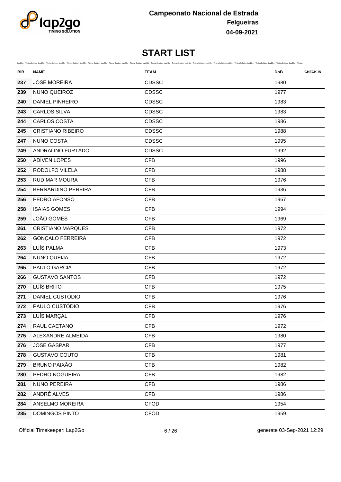

| BIB | <b>NAME</b>               | Lap2Go - Timing Solution Lap2Go - Timing Solution Lap2Go - Timing Solution Lap2Go - Timing Solution Lap2Go - Timing Solution Lap2Go - Timing Solution Lap2Go - Timing Solution Lap2Go - Timing Solution Lap2Go - Timing Soluti<br><b>TEAM</b> | <b>CHECK-IN</b><br><b>DoB</b> |
|-----|---------------------------|-----------------------------------------------------------------------------------------------------------------------------------------------------------------------------------------------------------------------------------------------|-------------------------------|
| 237 | <b>JOSÉ MOREIRA</b>       | CDSSC                                                                                                                                                                                                                                         | 1980                          |
| 239 | NUNO QUEIROZ              | CDSSC                                                                                                                                                                                                                                         | 1977                          |
| 240 | <b>DANIEL PINHEIRO</b>    | <b>CDSSC</b>                                                                                                                                                                                                                                  | 1983                          |
| 243 | <b>CARLOS SILVA</b>       | CDSSC                                                                                                                                                                                                                                         | 1983                          |
| 244 | <b>CARLOS COSTA</b>       | <b>CDSSC</b>                                                                                                                                                                                                                                  | 1986                          |
| 245 | <b>CRISTIANO RIBEIRO</b>  | <b>CDSSC</b>                                                                                                                                                                                                                                  | 1988                          |
| 247 | NUNO COSTA                | CDSSC                                                                                                                                                                                                                                         | 1995                          |
| 249 | ANDRALINO FURTADO         | CDSSC                                                                                                                                                                                                                                         | 1992                          |
| 250 | ADÍVEN LOPES              | <b>CFB</b>                                                                                                                                                                                                                                    | 1996                          |
| 252 | RODOLFO VILELA            | <b>CFB</b>                                                                                                                                                                                                                                    | 1988                          |
| 253 | <b>RUDIMAR MOURA</b>      | <b>CFB</b>                                                                                                                                                                                                                                    | 1976                          |
| 254 | <b>BERNARDINO PEREIRA</b> | <b>CFB</b>                                                                                                                                                                                                                                    | 1936                          |
| 256 | PEDRO AFONSO              | <b>CFB</b>                                                                                                                                                                                                                                    | 1967                          |
| 258 | <b>ISAIAS GOMES</b>       | <b>CFB</b>                                                                                                                                                                                                                                    | 1994                          |
| 259 | JOÃO GOMES                | <b>CFB</b>                                                                                                                                                                                                                                    | 1969                          |
| 261 | <b>CRISTIANO MARQUES</b>  | <b>CFB</b>                                                                                                                                                                                                                                    | 1972                          |
| 262 | <b>GONÇALO FERREIRA</b>   | <b>CFB</b>                                                                                                                                                                                                                                    | 1972                          |
| 263 | LUÍS PALMA                | <b>CFB</b>                                                                                                                                                                                                                                    | 1973                          |
| 264 | <b>NUNO QUEIJA</b>        | <b>CFB</b>                                                                                                                                                                                                                                    | 1972                          |
| 265 | PAULO GARCIA              | <b>CFB</b>                                                                                                                                                                                                                                    | 1972                          |
| 266 | <b>GUSTAVO SANTOS</b>     | <b>CFB</b>                                                                                                                                                                                                                                    | 1972                          |
| 270 | LUÍS BRITO                | <b>CFB</b>                                                                                                                                                                                                                                    | 1975                          |
| 271 | DANIEL CUSTÓDIO           | <b>CFB</b>                                                                                                                                                                                                                                    | 1976                          |
| 272 | PAULO CUSTÓDIO            | <b>CFB</b>                                                                                                                                                                                                                                    | 1976                          |
| 273 | LUÍS MARÇAL               | <b>CFB</b>                                                                                                                                                                                                                                    | 1976                          |
| 274 | RAUL CAETANO              | <b>CFB</b>                                                                                                                                                                                                                                    | 1972                          |
| 275 | ALEXANDRE ALMEIDA         | <b>CFB</b>                                                                                                                                                                                                                                    | 1980                          |
| 276 | <b>JOSE GASPAR</b>        | <b>CFB</b>                                                                                                                                                                                                                                    | 1977                          |
| 278 | <b>GUSTAVO COUTO</b>      | CFB                                                                                                                                                                                                                                           | 1981                          |
| 279 | <b>BRUNO PAIXÃO</b>       | <b>CFB</b>                                                                                                                                                                                                                                    | 1982                          |
| 280 | PEDRO NOGUEIRA            | <b>CFB</b>                                                                                                                                                                                                                                    | 1982                          |
| 281 | NUNO PEREIRA              | <b>CFB</b>                                                                                                                                                                                                                                    | 1986                          |
| 282 | ANDRÉ ALVES               | <b>CFB</b>                                                                                                                                                                                                                                    | 1986                          |
| 284 | ANSELMO MOREIRA           | <b>CFOD</b>                                                                                                                                                                                                                                   | 1954                          |
| 285 | DOMINGOS PINTO            | <b>CFOD</b>                                                                                                                                                                                                                                   | 1959                          |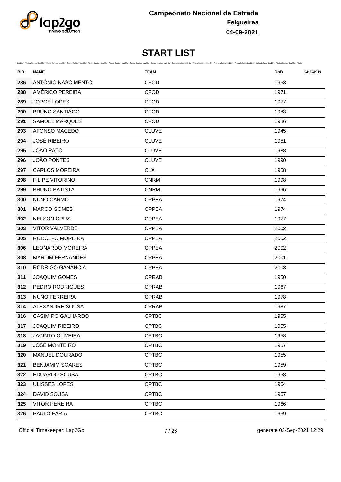

|     |                          | Lap2Go - Timing Solution Lap2Go - Timing Solution Lap2Go - Timing Solution Lap2Go - Timing Solution Lap2Go - Timing Solution Lap2Go - Timing Solution Lap2Go - Timing Solution Lap2Go - Timing Solution Lap2Go - Timing Soluti |                               |
|-----|--------------------------|--------------------------------------------------------------------------------------------------------------------------------------------------------------------------------------------------------------------------------|-------------------------------|
| BIB | <b>NAME</b>              | <b>TEAM</b>                                                                                                                                                                                                                    | <b>CHECK-IN</b><br><b>DoB</b> |
| 286 | ANTÓNIO NASCIMENTO       | <b>CFOD</b>                                                                                                                                                                                                                    | 1963                          |
| 288 | AMÉRICO PEREIRA          | <b>CFOD</b>                                                                                                                                                                                                                    | 1971                          |
| 289 | <b>JORGE LOPES</b>       | <b>CFOD</b>                                                                                                                                                                                                                    | 1977                          |
| 290 | <b>BRUNO SANTIAGO</b>    | <b>CFOD</b>                                                                                                                                                                                                                    | 1983                          |
| 291 | SAMUEL MARQUES           | <b>CFOD</b>                                                                                                                                                                                                                    | 1986                          |
| 293 | AFONSO MACEDO            | <b>CLUVE</b>                                                                                                                                                                                                                   | 1945                          |
| 294 | <b>JOSÉ RIBEIRO</b>      | <b>CLUVE</b>                                                                                                                                                                                                                   | 1951                          |
| 295 | <b>JOÃO PATO</b>         | <b>CLUVE</b>                                                                                                                                                                                                                   | 1988                          |
| 296 | <b>JOÃO PONTES</b>       | <b>CLUVE</b>                                                                                                                                                                                                                   | 1990                          |
| 297 | <b>CARLOS MOREIRA</b>    | <b>CLX</b>                                                                                                                                                                                                                     | 1958                          |
| 298 | <b>FILIPE VITORINO</b>   | <b>CNRM</b>                                                                                                                                                                                                                    | 1998                          |
| 299 | <b>BRUNO BATISTA</b>     | <b>CNRM</b>                                                                                                                                                                                                                    | 1996                          |
| 300 | NUNO CARMO               | <b>CPPEA</b>                                                                                                                                                                                                                   | 1974                          |
| 301 | <b>MARCO GOMES</b>       | <b>CPPEA</b>                                                                                                                                                                                                                   | 1974                          |
| 302 | <b>NELSON CRUZ</b>       | <b>CPPEA</b>                                                                                                                                                                                                                   | 1977                          |
| 303 | <b>VÍTOR VALVERDE</b>    | <b>CPPEA</b>                                                                                                                                                                                                                   | 2002                          |
| 305 | RODOLFO MOREIRA          | <b>CPPEA</b>                                                                                                                                                                                                                   | 2002                          |
| 306 | <b>LEONARDO MOREIRA</b>  | <b>CPPEA</b>                                                                                                                                                                                                                   | 2002                          |
| 308 | <b>MARTIM FERNANDES</b>  | <b>CPPEA</b>                                                                                                                                                                                                                   | 2001                          |
| 310 | RODRIGO GANÂNCIA         | <b>CPPEA</b>                                                                                                                                                                                                                   | 2003                          |
| 311 | <b>JOAQUIM GOMES</b>     | <b>CPRAB</b>                                                                                                                                                                                                                   | 1950                          |
| 312 | PEDRO RODRIGUES          | <b>CPRAB</b>                                                                                                                                                                                                                   | 1967                          |
| 313 | <b>NUNO FERREIRA</b>     | <b>CPRAB</b>                                                                                                                                                                                                                   | 1978                          |
| 314 | ALEXANDRE SOUSA          | <b>CPRAB</b>                                                                                                                                                                                                                   | 1987                          |
| 316 | <b>CASIMIRO GALHARDO</b> | <b>CPTBC</b>                                                                                                                                                                                                                   | 1955                          |
| 317 | <b>JOAQUIM RIBEIRO</b>   | <b>CPTBC</b>                                                                                                                                                                                                                   | 1955                          |
| 318 | <b>JACINTO OLIVEIRA</b>  | <b>CPTBC</b>                                                                                                                                                                                                                   | 1958                          |
| 319 | <b>JOSÉ MONTEIRO</b>     | <b>CPTBC</b>                                                                                                                                                                                                                   | 1957                          |
| 320 | MANUEL DOURADO           | <b>CPTBC</b>                                                                                                                                                                                                                   | 1955                          |
| 321 | <b>BENJAMIM SOARES</b>   | <b>CPTBC</b>                                                                                                                                                                                                                   | 1959                          |
| 322 | EDUARDO SOUSA            | <b>CPTBC</b>                                                                                                                                                                                                                   | 1958                          |
| 323 | ULISSES LOPES            | <b>CPTBC</b>                                                                                                                                                                                                                   | 1964                          |
| 324 | DAVID SOUSA              | <b>CPTBC</b>                                                                                                                                                                                                                   | 1967                          |
| 325 | <b>VÍTOR PEREIRA</b>     | <b>CPTBC</b>                                                                                                                                                                                                                   | 1966                          |
| 326 | PAULO FARIA              | <b>CPTBC</b>                                                                                                                                                                                                                   | 1969                          |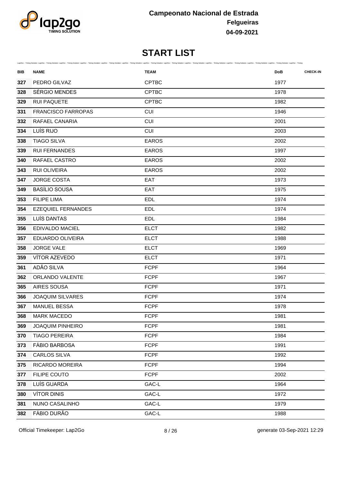

| BIB | <b>NAME</b>               | Lap2Go - Timing Solution Lap2Go - Timing Solution Lap2Go - Timing Solution Lap2Go - Timing Solution Lap2Go - Timing Solution Lap2Go - Timing Solution Lap2Go - Timing Solution Lap2Go - Timing Solution Lap2Go - Timing Soluti<br><b>TEAM</b> | <b>CHECK-IN</b><br><b>DoB</b> |
|-----|---------------------------|-----------------------------------------------------------------------------------------------------------------------------------------------------------------------------------------------------------------------------------------------|-------------------------------|
| 327 | PEDRO GILVAZ              | <b>CPTBC</b>                                                                                                                                                                                                                                  | 1977                          |
| 328 | SÉRGIO MENDES             | <b>CPTBC</b>                                                                                                                                                                                                                                  | 1978                          |
| 329 | <b>RUI PAQUETE</b>        | <b>CPTBC</b>                                                                                                                                                                                                                                  | 1982                          |
| 331 | <b>FRANCISCO FARROPAS</b> | <b>CUI</b>                                                                                                                                                                                                                                    | 1946                          |
| 332 | RAFAEL CANARIA            | <b>CUI</b>                                                                                                                                                                                                                                    | 2001                          |
| 334 | LUÍS RIJO                 | <b>CUI</b>                                                                                                                                                                                                                                    | 2003                          |
| 338 | <b>TIAGO SILVA</b>        | <b>EAROS</b>                                                                                                                                                                                                                                  | 2002                          |
| 339 | <b>RUI FERNANDES</b>      | <b>EAROS</b>                                                                                                                                                                                                                                  | 1997                          |
| 340 | RAFAEL CASTRO             | <b>EAROS</b>                                                                                                                                                                                                                                  | 2002                          |
| 343 | <b>RUI OLIVEIRA</b>       | <b>EAROS</b>                                                                                                                                                                                                                                  | 2002                          |
| 347 | <b>JORGE COSTA</b>        | EAT                                                                                                                                                                                                                                           | 1973                          |
| 349 | <b>BASÍLIO SOUSA</b>      | EAT                                                                                                                                                                                                                                           | 1975                          |
| 353 | <b>FILIPE LIMA</b>        | <b>EDL</b>                                                                                                                                                                                                                                    | 1974                          |
| 354 | <b>EZEQUIEL FERNANDES</b> | <b>EDL</b>                                                                                                                                                                                                                                    | 1974                          |
| 355 | LUÍS DANTAS               | <b>EDL</b>                                                                                                                                                                                                                                    | 1984                          |
| 356 | <b>EDIVALDO MACIEL</b>    | <b>ELCT</b>                                                                                                                                                                                                                                   | 1982                          |
| 357 | EDUARDO OLIVEIRA          | <b>ELCT</b>                                                                                                                                                                                                                                   | 1988                          |
| 358 | <b>JORGE VALE</b>         | <b>ELCT</b>                                                                                                                                                                                                                                   | 1969                          |
| 359 | VÍTOR AZEVEDO             | <b>ELCT</b>                                                                                                                                                                                                                                   | 1971                          |
| 361 | ADÃO SILVA                | <b>FCPF</b>                                                                                                                                                                                                                                   | 1964                          |
| 362 | ORLANDO VALENTE           | <b>FCPF</b>                                                                                                                                                                                                                                   | 1967                          |
| 365 | <b>AIRES SOUSA</b>        | <b>FCPF</b>                                                                                                                                                                                                                                   | 1971                          |
| 366 | <b>JOAQUIM SILVARES</b>   | <b>FCPF</b>                                                                                                                                                                                                                                   | 1974                          |
| 367 | <b>MANUEL BESSA</b>       | <b>FCPF</b>                                                                                                                                                                                                                                   | 1978                          |
| 368 | <b>MARK MACEDO</b>        | <b>FCPF</b>                                                                                                                                                                                                                                   | 1981                          |
| 369 | <b>JOAQUIM PINHEIRO</b>   | <b>FCPF</b>                                                                                                                                                                                                                                   | 1981                          |
| 370 | <b>TIAGO PEREIRA</b>      | <b>FCPF</b>                                                                                                                                                                                                                                   | 1984                          |
| 373 | <b>FÁBIO BARBOSA</b>      | <b>FCPF</b>                                                                                                                                                                                                                                   | 1991                          |
| 374 | <b>CARLOS SILVA</b>       | <b>FCPF</b>                                                                                                                                                                                                                                   | 1992                          |
| 375 | RICARDO MOREIRA           | <b>FCPF</b>                                                                                                                                                                                                                                   | 1994                          |
| 377 | FILIPE COUTO              | <b>FCPF</b>                                                                                                                                                                                                                                   | 2002                          |
| 378 | LUÍS GUARDA               | GAC-L                                                                                                                                                                                                                                         | 1964                          |
| 380 | <b>VÍTOR DINIS</b>        | GAC-L                                                                                                                                                                                                                                         | 1972                          |
| 381 | NUNO CASALINHO            | GAC-L                                                                                                                                                                                                                                         | 1979                          |
| 382 | FÁBIO DURÃO               | GAC-L                                                                                                                                                                                                                                         | 1988                          |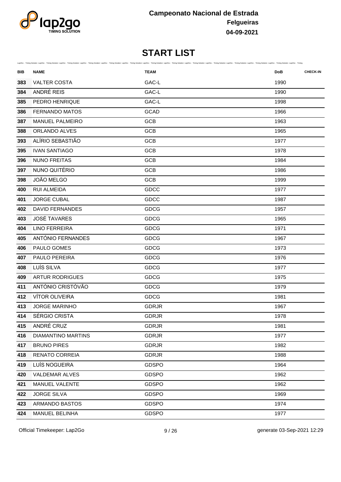

| BIB | <b>NAME</b>               | Lap2Go - Timing Solution Lap2Go - Timing Solution Lap2Go - Timing Solution Lap2Go - Timing Solution Lap2Go - Timing Solution Lap2Go - Timing Solution Lap2Go - Timing Solution Lap2Go - Timing Solution Lap2Go - Timing Soluti<br><b>TEAM</b> | <b>DoB</b> | <b>CHECK-IN</b> |
|-----|---------------------------|-----------------------------------------------------------------------------------------------------------------------------------------------------------------------------------------------------------------------------------------------|------------|-----------------|
| 383 | <b>VALTER COSTA</b>       | GAC-L                                                                                                                                                                                                                                         | 1990       |                 |
| 384 | ANDRÉ REIS                | GAC-L                                                                                                                                                                                                                                         | 1990       |                 |
| 385 | PEDRO HENRIQUE            | GAC-L                                                                                                                                                                                                                                         | 1998       |                 |
| 386 | <b>FERNANDO MATOS</b>     | GCAD                                                                                                                                                                                                                                          | 1966       |                 |
| 387 | <b>MANUEL PALMEIRO</b>    | <b>GCB</b>                                                                                                                                                                                                                                    | 1963       |                 |
| 388 | ORLANDO ALVES             | <b>GCB</b>                                                                                                                                                                                                                                    | 1965       |                 |
| 393 | ALÍRIO SEBASTIÃO          | <b>GCB</b>                                                                                                                                                                                                                                    | 1977       |                 |
| 395 | <b>IVAN SANTIAGO</b>      | <b>GCB</b>                                                                                                                                                                                                                                    | 1978       |                 |
| 396 | <b>NUNO FREITAS</b>       | <b>GCB</b>                                                                                                                                                                                                                                    | 1984       |                 |
| 397 | NUNO QUITÉRIO             | <b>GCB</b>                                                                                                                                                                                                                                    | 1986       |                 |
| 398 | JOÃO MELGO                | GCB                                                                                                                                                                                                                                           | 1999       |                 |
| 400 | <b>RUI ALMEIDA</b>        | GDCC                                                                                                                                                                                                                                          | 1977       |                 |
| 401 | <b>JORGE CUBAL</b>        | GDCC                                                                                                                                                                                                                                          | 1987       |                 |
| 402 | <b>DAVID FERNANDES</b>    | GDCG                                                                                                                                                                                                                                          | 1957       |                 |
| 403 | <b>JOSÉ TAVARES</b>       | <b>GDCG</b>                                                                                                                                                                                                                                   | 1965       |                 |
| 404 | <b>LINO FERREIRA</b>      | GDCG                                                                                                                                                                                                                                          | 1971       |                 |
| 405 | ANTÓNIO FERNANDES         | GDCG                                                                                                                                                                                                                                          | 1967       |                 |
| 406 | PAULO GOMES               | <b>GDCG</b>                                                                                                                                                                                                                                   | 1973       |                 |
| 407 | PAULO PEREIRA             | GDCG                                                                                                                                                                                                                                          | 1976       |                 |
| 408 | LUÍS SILVA                | GDCG                                                                                                                                                                                                                                          | 1977       |                 |
| 409 | <b>ARTUR RODRIGUES</b>    | GDCG                                                                                                                                                                                                                                          | 1975       |                 |
| 411 | ANTÓNIO CRISTÓVÃO         | GDCG                                                                                                                                                                                                                                          | 1979       |                 |
| 412 | VÍTOR OLIVEIRA            | GDCG                                                                                                                                                                                                                                          | 1981       |                 |
| 413 | <b>JORGE MARINHO</b>      | <b>GDRJR</b>                                                                                                                                                                                                                                  | 1967       |                 |
| 414 | SÉRGIO CRISTA             | <b>GDRJR</b>                                                                                                                                                                                                                                  | 1978       |                 |
| 415 | ANDRÉ CRUZ                | <b>GDRJR</b>                                                                                                                                                                                                                                  | 1981       |                 |
| 416 | <b>DIAMANTINO MARTINS</b> | <b>GDRJR</b>                                                                                                                                                                                                                                  | 1977       |                 |
| 417 | <b>BRUNO PIRES</b>        | <b>GDRJR</b>                                                                                                                                                                                                                                  | 1982       |                 |
| 418 | <b>RENATO CORREIA</b>     | <b>GDRJR</b>                                                                                                                                                                                                                                  | 1988       |                 |
| 419 | LUÍS NOGUEIRA             | <b>GDSPO</b>                                                                                                                                                                                                                                  | 1964       |                 |
| 420 | VALDEMAR ALVES            | <b>GDSPO</b>                                                                                                                                                                                                                                  | 1962       |                 |
| 421 | MANUEL VALENTE            | <b>GDSPO</b>                                                                                                                                                                                                                                  | 1962       |                 |
| 422 | <b>JORGE SILVA</b>        | <b>GDSPO</b>                                                                                                                                                                                                                                  | 1969       |                 |
| 423 | ARMANDO BASTOS            | <b>GDSPO</b>                                                                                                                                                                                                                                  | 1974       |                 |
| 424 | MANUEL BELINHA            | <b>GDSPO</b>                                                                                                                                                                                                                                  | 1977       |                 |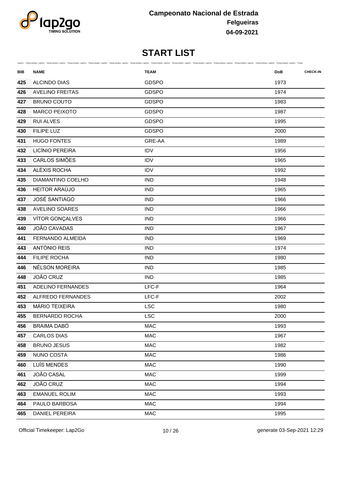

| BIB | Lap2Go - Timing Solution Lap2Go - Timing Solution Lap2Go - Timing Solution Lap2Go - Timing Solution Lap2Go - Timing Solution Lap2Go - Timing Solution Lap2Go - Timing Solution Lap2Go - Timing Solution Lap2Go - Timing Soluti<br><b>NAME</b> | <b>TEAM</b>  | <b>DoB</b> | <b>CHECK-IN</b> |
|-----|-----------------------------------------------------------------------------------------------------------------------------------------------------------------------------------------------------------------------------------------------|--------------|------------|-----------------|
| 425 | ALCINDO DIAS                                                                                                                                                                                                                                  | <b>GDSPO</b> | 1973       |                 |
| 426 | <b>AVELINO FREITAS</b>                                                                                                                                                                                                                        | <b>GDSPO</b> | 1974       |                 |
| 427 | <b>BRUNO COUTO</b>                                                                                                                                                                                                                            | <b>GDSPO</b> | 1983       |                 |
| 428 | <b>MARCO PEIXOTO</b>                                                                                                                                                                                                                          | <b>GDSPO</b> | 1987       |                 |
| 429 | <b>RUI ALVES</b>                                                                                                                                                                                                                              | <b>GDSPO</b> | 1995       |                 |
| 430 | <b>FILIPE LUZ</b>                                                                                                                                                                                                                             | <b>GDSPO</b> | 2000       |                 |
| 431 | <b>HUGO FONTES</b>                                                                                                                                                                                                                            | GRE-AA       | 1989       |                 |
| 432 | LICÍNIO PEREIRA                                                                                                                                                                                                                               | <b>IDV</b>   | 1956       |                 |
| 433 | CARLOS SIMÕES                                                                                                                                                                                                                                 | <b>IDV</b>   | 1965       |                 |
| 434 | ALÉXIS ROCHA                                                                                                                                                                                                                                  | <b>IDV</b>   | 1992       |                 |
| 435 | DIAMANTINO COELHO                                                                                                                                                                                                                             | <b>IND</b>   | 1948       |                 |
| 436 | HEITOR ARAÚJO                                                                                                                                                                                                                                 | <b>IND</b>   | 1965       |                 |
| 437 | <b>JOSÉ SANTIAGO</b>                                                                                                                                                                                                                          | <b>IND</b>   | 1966       |                 |
| 438 | <b>AVELINO SOARES</b>                                                                                                                                                                                                                         | <b>IND</b>   | 1966       |                 |
| 439 | VÍTOR GONÇALVES                                                                                                                                                                                                                               | <b>IND</b>   | 1966       |                 |
| 440 | JOÃO CAVADAS                                                                                                                                                                                                                                  | <b>IND</b>   | 1967       |                 |
| 441 | FERNANDO ALMEIDA                                                                                                                                                                                                                              | <b>IND</b>   | 1969       |                 |
| 443 | ANTÓNIO REIS                                                                                                                                                                                                                                  | <b>IND</b>   | 1974       |                 |
| 444 | <b>FILIPE ROCHA</b>                                                                                                                                                                                                                           | <b>IND</b>   | 1980       |                 |
| 446 | NÉLSON MOREIRA                                                                                                                                                                                                                                | <b>IND</b>   | 1985       |                 |
| 448 | JOÃO CRUZ                                                                                                                                                                                                                                     | <b>IND</b>   | 1985       |                 |
| 451 | ADELINO FERNANDES                                                                                                                                                                                                                             | LFC-F        | 1964       |                 |
| 452 | <b>ALFREDO FERNANDES</b>                                                                                                                                                                                                                      | LFC-F        | 2002       |                 |
| 453 | MÁRIO TEIXEIRA                                                                                                                                                                                                                                | <b>LSC</b>   | 1980       |                 |
| 455 | <b>BERNARDO ROCHA</b>                                                                                                                                                                                                                         | <b>LSC</b>   | 2000       |                 |
| 456 | <b>BRAIMA DABÓ</b>                                                                                                                                                                                                                            | <b>MAC</b>   | 1993       |                 |
| 457 | <b>CARLOS DIAS</b>                                                                                                                                                                                                                            | MAC          | 1967       |                 |
| 458 | <b>BRUNO JESUS</b>                                                                                                                                                                                                                            | MAC          | 1982       |                 |
| 459 | NUNO COSTA                                                                                                                                                                                                                                    | MAC          | 1986       |                 |
| 460 | LUÍS MENDES                                                                                                                                                                                                                                   | MAC          | 1990       |                 |
| 461 | JOÃO CASAL                                                                                                                                                                                                                                    | MAC          | 1999       |                 |
| 462 | JOÃO CRUZ                                                                                                                                                                                                                                     | MAC          | 1994       |                 |
| 463 | <b>EMANUEL ROLIM</b>                                                                                                                                                                                                                          | MAC          | 1993       |                 |
| 464 | PAULO BARBOSA                                                                                                                                                                                                                                 | MAC          | 1994       |                 |
| 465 | DANIEL PEREIRA                                                                                                                                                                                                                                | MAC          | 1995       |                 |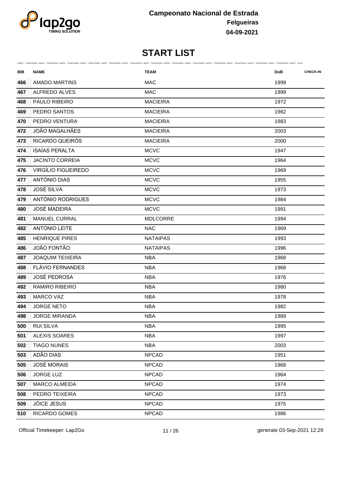

| BIB | <b>NAME</b>             | Lap2Go - Timing Solution Lap2Go - Timing Solution Lap2Go - Timing Solution Lap2Go - Timing Solution Lap2Go - Timing Solution Lap2Go - Timing Solution Lap2Go - Timing Solution Lap2Go - Timing Solution Lap2Go - Timing Soluti<br><b>TEAM</b> | <b>DoB</b> | <b>CHECK-IN</b> |
|-----|-------------------------|-----------------------------------------------------------------------------------------------------------------------------------------------------------------------------------------------------------------------------------------------|------------|-----------------|
| 466 | <b>AMADO MARTINS</b>    | <b>MAC</b>                                                                                                                                                                                                                                    | 1999       |                 |
| 467 | ALFREDO ALVES           | <b>MAC</b>                                                                                                                                                                                                                                    | 1999       |                 |
| 468 | PAULO RIBEIRO           | <b>MACIEIRA</b>                                                                                                                                                                                                                               | 1972       |                 |
| 469 | PEDRO SANTOS            | <b>MACIEIRA</b>                                                                                                                                                                                                                               | 1982       |                 |
| 470 | PEDRO VENTURA           | <b>MACIEIRA</b>                                                                                                                                                                                                                               | 1983       |                 |
| 472 | <b>JOÃO MAGALHÃES</b>   | <b>MACIEIRA</b>                                                                                                                                                                                                                               | 2003       |                 |
| 473 | RICARDO QUEIRÓS         | <b>MACIEIRA</b>                                                                                                                                                                                                                               | 2000       |                 |
| 474 | <b>ISAÍAS PERALTA</b>   | <b>MCVC</b>                                                                                                                                                                                                                                   | 1947       |                 |
| 475 | <b>JACINTO CORREIA</b>  | <b>MCVC</b>                                                                                                                                                                                                                                   | 1964       |                 |
| 476 | VIRGÍLIO FIGUEIREDO     | <b>MCVC</b>                                                                                                                                                                                                                                   | 1969       |                 |
| 477 | ANTÓNIO DIAS            | <b>MCVC</b>                                                                                                                                                                                                                                   | 1955       |                 |
| 478 | <b>JOSÉ SILVA</b>       | <b>MCVC</b>                                                                                                                                                                                                                                   | 1973       |                 |
| 479 | ANTÓNIO RODRIGUES       | <b>MCVC</b>                                                                                                                                                                                                                                   | 1984       |                 |
| 480 | <b>JOSÉ MADEIRA</b>     | <b>MCVC</b>                                                                                                                                                                                                                                   | 1991       |                 |
| 481 | MANUEL CURRAL           | <b>MDLCORRE</b>                                                                                                                                                                                                                               | 1994       |                 |
| 482 | ANTÓNIO LEITE           | <b>NAC</b>                                                                                                                                                                                                                                    | 1969       |                 |
| 485 | <b>HENRIQUE PIRES</b>   | <b>NATAIPAS</b>                                                                                                                                                                                                                               | 1993       |                 |
| 486 | JOÃO FONTÃO             | <b>NATAIPAS</b>                                                                                                                                                                                                                               | 1996       |                 |
| 487 | <b>JOAQUIM TEIXEIRA</b> | <b>NBA</b>                                                                                                                                                                                                                                    | 1968       |                 |
| 488 | <b>FLÁVIO FERNANDES</b> | <b>NBA</b>                                                                                                                                                                                                                                    | 1968       |                 |
| 489 | <b>JOSÉ PEDROSA</b>     | <b>NBA</b>                                                                                                                                                                                                                                    | 1976       |                 |
| 492 | <b>RAMIRO RIBEIRO</b>   | <b>NBA</b>                                                                                                                                                                                                                                    | 1980       |                 |
| 493 | <b>MARCO VAZ</b>        | <b>NBA</b>                                                                                                                                                                                                                                    | 1978       |                 |
| 494 | <b>JORGE NETO</b>       | <b>NBA</b>                                                                                                                                                                                                                                    | 1982       |                 |
| 498 | <b>JORGE MIRANDA</b>    | <b>NBA</b>                                                                                                                                                                                                                                    | 1989       |                 |
| 500 | <b>RUI SILVA</b>        | <b>NBA</b>                                                                                                                                                                                                                                    | 1995       |                 |
| 501 | ALEXIS SOARES           | <b>NBA</b>                                                                                                                                                                                                                                    | 1997       |                 |
| 502 | <b>TIAGO NUNES</b>      | <b>NBA</b>                                                                                                                                                                                                                                    | 2003       |                 |
| 503 | ADÃO DIAS               | <b>NPCAD</b>                                                                                                                                                                                                                                  | 1951       |                 |
| 505 | <b>JOSÉ MORAIS</b>      | <b>NPCAD</b>                                                                                                                                                                                                                                  | 1968       |                 |
| 506 | <b>JORGE LUZ</b>        | <b>NPCAD</b>                                                                                                                                                                                                                                  | 1964       |                 |
| 507 | MARCO ALMEIDA           | <b>NPCAD</b>                                                                                                                                                                                                                                  | 1974       |                 |
| 508 | PEDRO TEIXEIRA          | <b>NPCAD</b>                                                                                                                                                                                                                                  | 1973       |                 |
| 509 | <b>JÓICE JESUS</b>      | <b>NPCAD</b>                                                                                                                                                                                                                                  | 1975       |                 |
| 510 | RICARDO GOMES           | <b>NPCAD</b>                                                                                                                                                                                                                                  | 1986       |                 |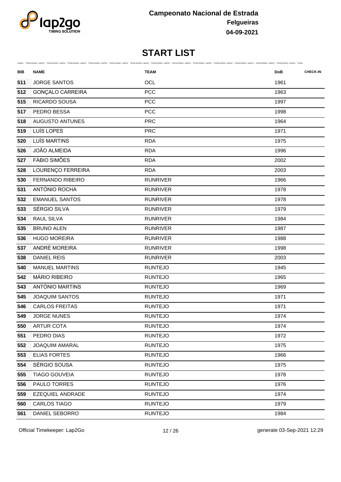

| BIB | <b>NAME</b>             | Lap2Go - Timing Solution Lap2Go - Timing Solution Lap2Go - Timing Solution Lap2Go - Timing Solution Lap2Go - Timing Solution Lap2Go - Timing Solution Lap2Go - Timing Solution Lap2Go - Timing Solution Lap2Go - Timing Soluti<br><b>TEAM</b> | <b>DoB</b> | <b>CHECK-IN</b> |
|-----|-------------------------|-----------------------------------------------------------------------------------------------------------------------------------------------------------------------------------------------------------------------------------------------|------------|-----------------|
| 511 | <b>JORGE SANTOS</b>     | OCL                                                                                                                                                                                                                                           | 1961       |                 |
| 512 | <b>GONÇALO CARREIRA</b> | PCC                                                                                                                                                                                                                                           | 1963       |                 |
| 515 | RICARDO SOUSA           | <b>PCC</b>                                                                                                                                                                                                                                    | 1997       |                 |
| 517 | PEDRO BESSA             | <b>PCC</b>                                                                                                                                                                                                                                    | 1998       |                 |
| 518 | <b>AUGUSTO ANTUNES</b>  | <b>PRC</b>                                                                                                                                                                                                                                    | 1964       |                 |
| 519 | LUÍS LOPES              | <b>PRC</b>                                                                                                                                                                                                                                    | 1971       |                 |
| 520 | LUÍS MARTINS            | <b>RDA</b>                                                                                                                                                                                                                                    | 1975       |                 |
| 526 | <b>JOÃO ALMEIDA</b>     | <b>RDA</b>                                                                                                                                                                                                                                    | 1996       |                 |
| 527 | <b>FÁBIO SIMÕES</b>     | <b>RDA</b>                                                                                                                                                                                                                                    | 2002       |                 |
| 528 | LOURENÇO FERREIRA       | <b>RDA</b>                                                                                                                                                                                                                                    | 2003       |                 |
| 530 | <b>FERNANDO RIBEIRO</b> | <b>RUNRIVER</b>                                                                                                                                                                                                                               | 1966       |                 |
| 531 | ANTÓNIO ROCHA           | <b>RUNRIVER</b>                                                                                                                                                                                                                               | 1978       |                 |
| 532 | <b>EMANUEL SANTOS</b>   | <b>RUNRIVER</b>                                                                                                                                                                                                                               | 1978       |                 |
| 533 | SÉRGIO SILVA            | <b>RUNRIVER</b>                                                                                                                                                                                                                               | 1979       |                 |
| 534 | RAUL SILVA              | <b>RUNRIVER</b>                                                                                                                                                                                                                               | 1984       |                 |
| 535 | <b>BRUNO ALEN</b>       | <b>RUNRIVER</b>                                                                                                                                                                                                                               | 1987       |                 |
| 536 | <b>HUGO MOREIRA</b>     | <b>RUNRIVER</b>                                                                                                                                                                                                                               | 1988       |                 |
| 537 | ANDRÉ MOREIRA           | <b>RUNRIVER</b>                                                                                                                                                                                                                               | 1998       |                 |
| 538 | <b>DANIEL REIS</b>      | <b>RUNRIVER</b>                                                                                                                                                                                                                               | 2003       |                 |
| 540 | <b>MANUEL MARTINS</b>   | <b>RUNTEJO</b>                                                                                                                                                                                                                                | 1945       |                 |
| 542 | <b>MÁRIO RIBEIRO</b>    | <b>RUNTEJO</b>                                                                                                                                                                                                                                | 1965       |                 |
| 543 | ANTÓNIO MARTINS         | <b>RUNTEJO</b>                                                                                                                                                                                                                                | 1969       |                 |
| 545 | <b>JOAQUIM SANTOS</b>   | <b>RUNTEJO</b>                                                                                                                                                                                                                                | 1971       |                 |
| 546 | <b>CARLOS FREITAS</b>   | <b>RUNTEJO</b>                                                                                                                                                                                                                                | 1971       |                 |
| 549 | <b>JORGE NUNES</b>      | <b>RUNTEJO</b>                                                                                                                                                                                                                                | 1974       |                 |
| 550 | <b>ARTUR COTA</b>       | <b>RUNTEJO</b>                                                                                                                                                                                                                                | 1974       |                 |
| 551 | PEDRO DIAS              | <b>RUNTEJO</b>                                                                                                                                                                                                                                | 1972       |                 |
| 552 | <b>JOAQUIM AMARAL</b>   | <b>RUNTEJO</b>                                                                                                                                                                                                                                | 1975       |                 |
| 553 | <b>ELIAS FORTES</b>     | <b>RUNTEJO</b>                                                                                                                                                                                                                                | 1966       |                 |
| 554 | SÉRGIO SOUSA            | <b>RUNTEJO</b>                                                                                                                                                                                                                                | 1975       |                 |
| 555 | <b>TIAGO GOUVEIA</b>    | <b>RUNTEJO</b>                                                                                                                                                                                                                                | 1978       |                 |
| 556 | PAULO TORRES            | <b>RUNTEJO</b>                                                                                                                                                                                                                                | 1976       |                 |
| 559 | EZEQUIEL ANDRADE        | <b>RUNTEJO</b>                                                                                                                                                                                                                                | 1974       |                 |
| 560 | CARLOS TIAGO            | <b>RUNTEJO</b>                                                                                                                                                                                                                                | 1979       |                 |
| 561 | DANIEL SEBORRO          | <b>RUNTEJO</b>                                                                                                                                                                                                                                | 1984       |                 |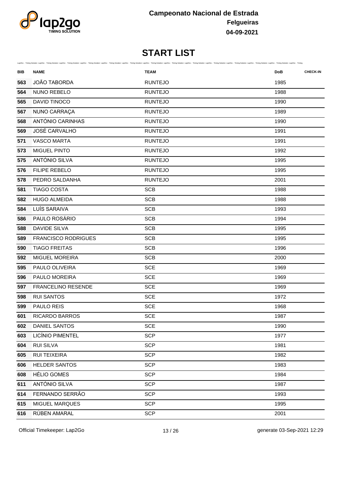

| BIB | <b>NAME</b>                | Lap2Go - Timing Solution Lap2Go - Timing Solution Lap2Go - Timing Solution Lap2Go - Timing Solution Lap2Go - Timing Solution Lap2Go - Timing Solution Lap2Go - Timing Solution Lap2Go - Timing Solution Lap2Go - Timing Soluti<br><b>TEAM</b> | <b>DoB</b> | <b>CHECK-IN</b> |
|-----|----------------------------|-----------------------------------------------------------------------------------------------------------------------------------------------------------------------------------------------------------------------------------------------|------------|-----------------|
| 563 | JOÃO TABORDA               | <b>RUNTEJO</b>                                                                                                                                                                                                                                | 1985       |                 |
| 564 | NUNO REBELO                | <b>RUNTEJO</b>                                                                                                                                                                                                                                | 1988       |                 |
| 565 | <b>DAVID TINOCO</b>        | <b>RUNTEJO</b>                                                                                                                                                                                                                                | 1990       |                 |
| 567 | NUNO CARRAÇA               | <b>RUNTEJO</b>                                                                                                                                                                                                                                | 1989       |                 |
| 568 | ANTÓNIO CARINHAS           | <b>RUNTEJO</b>                                                                                                                                                                                                                                | 1990       |                 |
| 569 | <b>JOSÉ CARVALHO</b>       | <b>RUNTEJO</b>                                                                                                                                                                                                                                | 1991       |                 |
| 571 | <b>VASCO MARTA</b>         | <b>RUNTEJO</b>                                                                                                                                                                                                                                | 1991       |                 |
| 573 | MIGUEL PINTO               | <b>RUNTEJO</b>                                                                                                                                                                                                                                | 1992       |                 |
| 575 | ANTÓNIO SILVA              | <b>RUNTEJO</b>                                                                                                                                                                                                                                | 1995       |                 |
| 576 | <b>FILIPE REBELO</b>       | <b>RUNTEJO</b>                                                                                                                                                                                                                                | 1995       |                 |
| 578 | PEDRO SALDANHA             | <b>RUNTEJO</b>                                                                                                                                                                                                                                | 2001       |                 |
| 581 | <b>TIAGO COSTA</b>         | <b>SCB</b>                                                                                                                                                                                                                                    | 1988       |                 |
| 582 | <b>HUGO ALMEIDA</b>        | <b>SCB</b>                                                                                                                                                                                                                                    | 1988       |                 |
| 584 | LUÍS SARAIVA               | <b>SCB</b>                                                                                                                                                                                                                                    | 1993       |                 |
| 586 | PAULO ROSÁRIO              | <b>SCB</b>                                                                                                                                                                                                                                    | 1994       |                 |
| 588 | <b>DAVIDE SILVA</b>        | <b>SCB</b>                                                                                                                                                                                                                                    | 1995       |                 |
| 589 | <b>FRANCISCO RODRIGUES</b> | <b>SCB</b>                                                                                                                                                                                                                                    | 1995       |                 |
| 590 | <b>TIAGO FREITAS</b>       | <b>SCB</b>                                                                                                                                                                                                                                    | 1996       |                 |
| 592 | <b>MIGUEL MOREIRA</b>      | <b>SCB</b>                                                                                                                                                                                                                                    | 2000       |                 |
| 595 | PAULO OLIVEIRA             | <b>SCE</b>                                                                                                                                                                                                                                    | 1969       |                 |
| 596 | PAULO MOREIRA              | <b>SCE</b>                                                                                                                                                                                                                                    | 1969       |                 |
| 597 | <b>FRANCELINO RESENDE</b>  | <b>SCE</b>                                                                                                                                                                                                                                    | 1969       |                 |
| 598 | <b>RUI SANTOS</b>          | <b>SCE</b>                                                                                                                                                                                                                                    | 1972       |                 |
| 599 | PAULO REIS                 | <b>SCE</b>                                                                                                                                                                                                                                    | 1968       |                 |
| 601 | RICARDO BARROS             | <b>SCE</b>                                                                                                                                                                                                                                    | 1987       |                 |
| 602 | DANIEL SANTOS              | <b>SCE</b>                                                                                                                                                                                                                                    | 1990       |                 |
| 603 | <b>LICÍNIO PIMENTEL</b>    | <b>SCP</b>                                                                                                                                                                                                                                    | 1977       |                 |
| 604 | <b>RUI SILVA</b>           | <b>SCP</b>                                                                                                                                                                                                                                    | 1981       |                 |
| 605 | <b>RUI TEIXEIRA</b>        | <b>SCP</b>                                                                                                                                                                                                                                    | 1982       |                 |
| 606 | HELDER SANTOS              | <b>SCP</b>                                                                                                                                                                                                                                    | 1983       |                 |
| 608 | <b>HÉLIO GOMES</b>         | <b>SCP</b>                                                                                                                                                                                                                                    | 1984       |                 |
| 611 | ANTÓNIO SILVA              | <b>SCP</b>                                                                                                                                                                                                                                    | 1987       |                 |
| 614 | FERNANDO SERRÃO            | <b>SCP</b>                                                                                                                                                                                                                                    | 1993       |                 |
| 615 | MIGUEL MARQUES             | <b>SCP</b>                                                                                                                                                                                                                                    | 1995       |                 |
| 616 | RÚBEN AMARAL               | <b>SCP</b>                                                                                                                                                                                                                                    | 2001       |                 |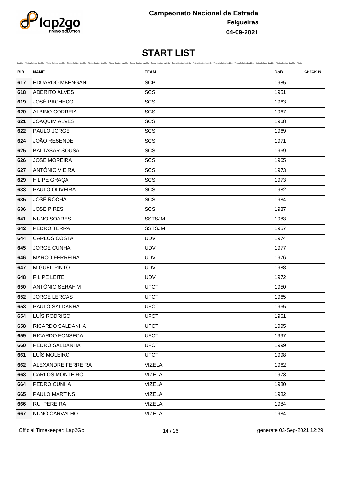

| BIB | Lap2Go - Timing Solution Lap2Go - Timing Solution Lap2Go - Timing Solution Lap2Go - Timing Solution Lap2Go - Timing Solution Lap2Go - Timing Solution Lap2Go - Timing Solution Lap2Go - Timing Solution Lap2Go - Timing Soluti<br><b>NAME</b> | <b>TEAM</b>   | <b>CHECK-IN</b><br><b>DoB</b> |
|-----|-----------------------------------------------------------------------------------------------------------------------------------------------------------------------------------------------------------------------------------------------|---------------|-------------------------------|
| 617 | EDUARDO MBENGANI                                                                                                                                                                                                                              | <b>SCP</b>    | 1985                          |
| 618 | ADÉRITO ALVES                                                                                                                                                                                                                                 | SCS           | 1951                          |
| 619 | <b>JOSÉ PACHECO</b>                                                                                                                                                                                                                           | SCS           | 1963                          |
| 620 | ALBINO CORREIA                                                                                                                                                                                                                                | SCS           | 1967                          |
| 621 | JOAQUIM ALVES                                                                                                                                                                                                                                 | SCS           | 1968                          |
| 622 | PAULO JORGE                                                                                                                                                                                                                                   | SCS           | 1969                          |
| 624 | <b>JOÃO RESENDE</b>                                                                                                                                                                                                                           | SCS           | 1971                          |
| 625 | <b>BALTASAR SOUSA</b>                                                                                                                                                                                                                         | SCS           | 1969                          |
| 626 | <b>JOSE MOREIRA</b>                                                                                                                                                                                                                           | SCS           | 1965                          |
| 627 | ANTÓNIO VIEIRA                                                                                                                                                                                                                                | SCS           | 1973                          |
| 629 | FILIPE GRAÇA                                                                                                                                                                                                                                  | SCS           | 1973                          |
| 633 | PAULO OLIVEIRA                                                                                                                                                                                                                                | SCS           | 1982                          |
| 635 | <b>JOSÉ ROCHA</b>                                                                                                                                                                                                                             | SCS           | 1984                          |
| 636 | <b>JOSÉ PIRES</b>                                                                                                                                                                                                                             | SCS           | 1987                          |
| 641 | <b>NUNO SOARES</b>                                                                                                                                                                                                                            | <b>SSTSJM</b> | 1983                          |
| 642 | PEDRO TERRA                                                                                                                                                                                                                                   | <b>SSTSJM</b> | 1957                          |
| 644 | <b>CARLOS COSTA</b>                                                                                                                                                                                                                           | <b>UDV</b>    | 1974                          |
| 645 | <b>JORGE CUNHA</b>                                                                                                                                                                                                                            | <b>UDV</b>    | 1977                          |
| 646 | <b>MARCO FERREIRA</b>                                                                                                                                                                                                                         | <b>UDV</b>    | 1976                          |
| 647 | MIGUEL PINTO                                                                                                                                                                                                                                  | <b>UDV</b>    | 1988                          |
| 648 | <b>FILIPE LEITE</b>                                                                                                                                                                                                                           | <b>UDV</b>    | 1972                          |
| 650 | ANTÓNIO SERAFIM                                                                                                                                                                                                                               | <b>UFCT</b>   | 1950                          |
| 652 | <b>JORGE LERCAS</b>                                                                                                                                                                                                                           | <b>UFCT</b>   | 1965                          |
| 653 | PAULO SALDANHA                                                                                                                                                                                                                                | <b>UFCT</b>   | 1965                          |
| 654 | LUÍS RODRIGO                                                                                                                                                                                                                                  | <b>UFCT</b>   | 1961                          |
| 658 | RICARDO SALDANHA                                                                                                                                                                                                                              | <b>UFCT</b>   | 1995                          |
| 659 | RICARDO FONSECA                                                                                                                                                                                                                               | <b>UFCT</b>   | 1997                          |
| 660 | PEDRO SALDANHA                                                                                                                                                                                                                                | <b>UFCT</b>   | 1999                          |
| 661 | LUÍS MOLEIRO                                                                                                                                                                                                                                  | <b>UFCT</b>   | 1998                          |
| 662 | ALEXANDRE FERREIRA                                                                                                                                                                                                                            | <b>VIZELA</b> | 1962                          |
| 663 | <b>CARLOS MONTEIRO</b>                                                                                                                                                                                                                        | <b>VIZELA</b> | 1973                          |
| 664 | PEDRO CUNHA                                                                                                                                                                                                                                   | <b>VIZELA</b> | 1980                          |
| 665 | PAULO MARTINS                                                                                                                                                                                                                                 | <b>VIZELA</b> | 1982                          |
| 666 | <b>RUI PEREIRA</b>                                                                                                                                                                                                                            | <b>VIZELA</b> | 1984                          |
| 667 | NUNO CARVALHO                                                                                                                                                                                                                                 | <b>VIZELA</b> | 1984                          |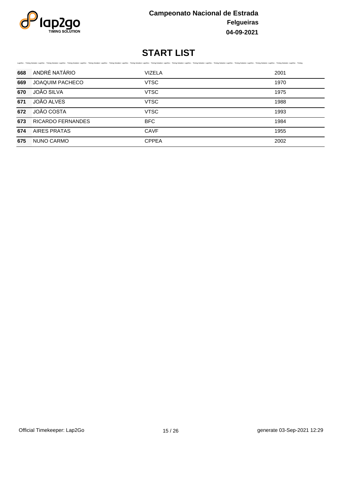

|     | Lap2Go - Timing Solution Lap2Go - Timing Solution Lap2Go - Timing Solution Lap2Go - Timing Solution Lap2Go - Timing Solution Lap2Go - Timing Solution Lap2Go - Timing Solution Lap2Go - Timing Solution Lap2Go - Timing Soluti |               |      |  |  |  |
|-----|--------------------------------------------------------------------------------------------------------------------------------------------------------------------------------------------------------------------------------|---------------|------|--|--|--|
| 668 | ANDRÉ NATÁRIO                                                                                                                                                                                                                  | <b>VIZELA</b> | 2001 |  |  |  |
| 669 | <b>JOAQUIM PACHECO</b>                                                                                                                                                                                                         | <b>VTSC</b>   | 1970 |  |  |  |
| 670 | <b>JOÃO SILVA</b>                                                                                                                                                                                                              | <b>VTSC</b>   | 1975 |  |  |  |
| 671 | JOÃO ALVES                                                                                                                                                                                                                     | <b>VTSC</b>   | 1988 |  |  |  |
| 672 | <b>JOÃO COSTA</b>                                                                                                                                                                                                              | <b>VTSC</b>   | 1993 |  |  |  |
| 673 | <b>RICARDO FERNANDES</b>                                                                                                                                                                                                       | <b>BFC</b>    | 1984 |  |  |  |
| 674 | AIRES PRATAS                                                                                                                                                                                                                   | <b>CAVF</b>   | 1955 |  |  |  |
| 675 | NUNO CARMO                                                                                                                                                                                                                     | <b>CPPEA</b>  | 2002 |  |  |  |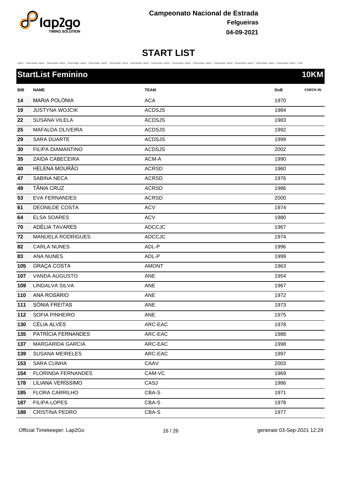

|  |  |  |  |  |  | Lap2Go - Timing Solution Lap2Go - Timing Solution Lap2Go - Timing Solution Lap2Go - Timing Solution Lap2Go - Timing Solution Lap2Go - Timing Solution Lap2Go - Timing Solution Lap2Go - Timing Solution Lap2Go - Timing Soluti |  |
|--|--|--|--|--|--|--------------------------------------------------------------------------------------------------------------------------------------------------------------------------------------------------------------------------------|--|
|  |  |  |  |  |  |                                                                                                                                                                                                                                |  |

|     | <b>StartList Feminino</b> |               | <b>10KM</b>                   |
|-----|---------------------------|---------------|-------------------------------|
| BIB | <b>NAME</b>               | <b>TEAM</b>   | <b>CHECK-IN</b><br><b>DoB</b> |
| 14  | MARIA POLÓNIA             | <b>ACA</b>    | 1970                          |
| 19  | <b>JUSTYNA WOJCIK</b>     | <b>ACDSJS</b> | 1984                          |
| 22  | <b>SUSANA VILELA</b>      | <b>ACDSJS</b> | 1983                          |
| 25  | MAFALDA OLIVEIRA          | <b>ACDSJS</b> | 1992                          |
| 29  | SARA DUARTE               | <b>ACDSJS</b> | 1999                          |
| 30  | FILIPA DIAMANTINO         | <b>ACDSJS</b> | 2002                          |
| 35  | ZAIDA CABECEIRA           | ACM-A         | 1990                          |
| 40  | HELENA MOURÃO             | <b>ACRSD</b>  | 1960                          |
| 47  | SABINA NECA               | <b>ACRSD</b>  | 1976                          |
| 49  | <b>TÂNIA CRUZ</b>         | ACRSD         | 1986                          |
| 53  | <b>EVA FERNANDES</b>      | <b>ACRSD</b>  | 2000                          |
| 61  | <b>DEONILDE COSTA</b>     | <b>ACV</b>    | 1974                          |
| 64  | <b>ELSA SOARES</b>        | <b>ACV</b>    | 1980                          |
| 70  | ADÉLIA TAVARES            | <b>ADCCJC</b> | 1967                          |
| 72  | <b>MANUELA RODRIGUES</b>  | <b>ADCCJC</b> | 1974                          |
| 82  | <b>CARLA NUNES</b>        | ADL-P         | 1996                          |
| 83  | ANA NUNES                 | ADL-P         | 1999                          |
| 105 | <b>GRAÇA COSTA</b>        | <b>AMONT</b>  | 1963                          |
| 107 | <b>VANDA AUGUSTO</b>      | ANE           | 1954                          |
| 109 | LINDALVA SILVA            | ANE           | 1967                          |
| 110 | ANA ROSÁRIO               | ANE           | 1972                          |
| 111 | SÓNIA FREITAS             | ANE           | 1973                          |
| 112 | SOFIA PINHEIRO            | ANE           | 1975                          |
| 130 | CÉLIA ALVES               | ARC-EAC       | 1978                          |
| 135 | PATRÍCIA FERNANDES        | ARC-EAC       | 1988                          |
| 137 | <b>MARGARIDA GARCIA</b>   | ARC-EAC       | 1998                          |
| 139 | <b>SUSANA MEIRELES</b>    | ARC-EAC       | 1997                          |
| 153 | <b>SARA CUNHA</b>         | CAAV          | 2003                          |
| 154 | FLORINDA FERNANDES        | CAM-VC        | 1969                          |
| 178 | LILIANA VERÍSSIMO         | CASJ          | 1986                          |
| 185 | FLORA CARRILHO            | CBA-S         | 1971                          |
| 187 | FILIPA LOPES              | CBA-S         | 1978                          |
| 188 | <b>CRISTINA PEDRO</b>     | CBA-S         | 1977                          |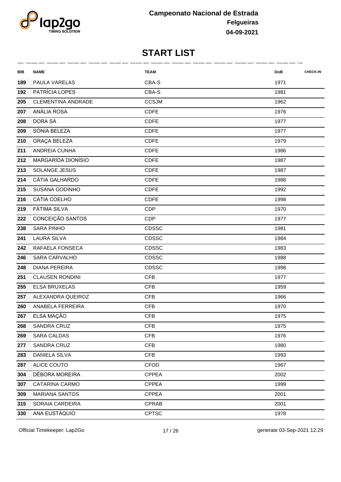

| BIB | <b>NAME</b>               | Lap2Go - Timing Solution Lap2Go - Timing Solution Lap2Go - Timing Solution Lap2Go - Timing Solution Lap2Go - Timing Solution Lap2Go - Timing Solution Lap2Go - Timing Solution Lap2Go - Timing Solution Lap2Go - Timing Soluti<br><b>TEAM</b> | <b>CHECK-IN</b><br><b>DoB</b> |
|-----|---------------------------|-----------------------------------------------------------------------------------------------------------------------------------------------------------------------------------------------------------------------------------------------|-------------------------------|
| 189 | PAULA VARELAS             | CBA-S                                                                                                                                                                                                                                         | 1971                          |
| 192 | PATRÍCIA LOPES            | CBA-S                                                                                                                                                                                                                                         | 1981                          |
| 205 | <b>CLEMENTINA ANDRADE</b> | <b>CCSJM</b>                                                                                                                                                                                                                                  | 1962                          |
| 207 | ANÁLIA ROSA               | <b>CDFE</b>                                                                                                                                                                                                                                   | 1976                          |
| 208 | DORA SÁ                   | <b>CDFE</b>                                                                                                                                                                                                                                   | 1977                          |
| 209 | SÓNIA BELEZA              | <b>CDFE</b>                                                                                                                                                                                                                                   | 1977                          |
| 210 | <b>GRAÇA BELEZA</b>       | <b>CDFE</b>                                                                                                                                                                                                                                   | 1979                          |
| 211 | ANDREIA CUNHA             | <b>CDFE</b>                                                                                                                                                                                                                                   | 1986                          |
| 212 | MARGARIDA DIONÍSIO        | <b>CDFE</b>                                                                                                                                                                                                                                   | 1987                          |
| 213 | SOLANGE JESUS             | <b>CDFE</b>                                                                                                                                                                                                                                   | 1987                          |
| 214 | CÁTIA GALHARDO            | <b>CDFE</b>                                                                                                                                                                                                                                   | 1988                          |
| 215 | <b>SUSANA GODINHO</b>     | <b>CDFE</b>                                                                                                                                                                                                                                   | 1992                          |
| 216 | CÁTIA COELHO              | <b>CDFE</b>                                                                                                                                                                                                                                   | 1998                          |
| 219 | <b>FÁTIMA SILVA</b>       | <b>CDP</b>                                                                                                                                                                                                                                    | 1970                          |
| 222 | CONCEIÇÃO SANTOS          | <b>CDP</b>                                                                                                                                                                                                                                    | 1977                          |
| 238 | <b>SARA PINHO</b>         | CDSSC                                                                                                                                                                                                                                         | 1981                          |
| 241 | <b>LAURA SILVA</b>        | CDSSC                                                                                                                                                                                                                                         | 1984                          |
| 242 | RAFAELA FONSECA           | CDSSC                                                                                                                                                                                                                                         | 1983                          |
| 246 | SARA CARVALHO             | CDSSC                                                                                                                                                                                                                                         | 1988                          |
| 248 | <b>DIANA PEREIRA</b>      | CDSSC                                                                                                                                                                                                                                         | 1998                          |
| 251 | <b>CLAUSEN RONDINI</b>    | <b>CFB</b>                                                                                                                                                                                                                                    | 1977                          |
| 255 | ELSA BRUXELAS             | <b>CFB</b>                                                                                                                                                                                                                                    | 1959                          |
| 257 | ALEXANDRA QUEIROZ         | <b>CFB</b>                                                                                                                                                                                                                                    | 1966                          |
| 260 | ANABELA FERREIRA          | <b>CFB</b>                                                                                                                                                                                                                                    | 1970                          |
| 267 | ELSA MAÇÃO                | <b>CFB</b>                                                                                                                                                                                                                                    | 1975                          |
| 268 | SANDRA CRUZ               | <b>CFB</b>                                                                                                                                                                                                                                    | 1975                          |
| 269 | <b>SARA CALDAS</b>        | <b>CFB</b>                                                                                                                                                                                                                                    | 1976                          |
| 277 | SANDRA CRUZ               | <b>CFB</b>                                                                                                                                                                                                                                    | 1980                          |
| 283 | <b>DANIELA SILVA</b>      | CFB                                                                                                                                                                                                                                           | 1993                          |
| 287 | ALICE COUTO               | <b>CFOD</b>                                                                                                                                                                                                                                   | 1967                          |
| 304 | DÉBORA MOREIRA            | <b>CPPEA</b>                                                                                                                                                                                                                                  | 2002                          |
| 307 | CATARINA CARMO            | <b>CPPEA</b>                                                                                                                                                                                                                                  | 1999                          |
| 309 | <b>MARIANA SANTOS</b>     | <b>CPPEA</b>                                                                                                                                                                                                                                  | 2001                          |
| 315 | SORAIA CARDEIRA           | <b>CPRAB</b>                                                                                                                                                                                                                                  | 2001                          |
| 330 | ANA EUSTÁQUIO             | <b>CPTSC</b>                                                                                                                                                                                                                                  | 1978                          |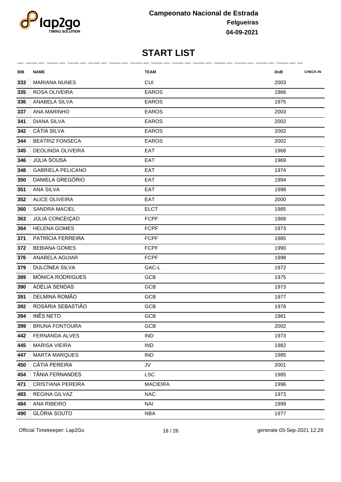

| BIB | <b>NAME</b>              | Lap2Go - Timing Solution Lap2Go - Timing Solution Lap2Go - Timing Solution Lap2Go - Timing Solution Lap2Go - Timing Solution Lap2Go - Timing Solution Lap2Go - Timing Solution Lap2Go - Timing Solution Lap2Go - Timing Soluti<br><b>TEAM</b> | <b>DoB</b> | <b>CHECK-IN</b> |
|-----|--------------------------|-----------------------------------------------------------------------------------------------------------------------------------------------------------------------------------------------------------------------------------------------|------------|-----------------|
| 333 | <b>MARIANA NUNES</b>     | <b>CUI</b>                                                                                                                                                                                                                                    | 2003       |                 |
| 335 | ROSA OLIVEIRA            | <b>EAROS</b>                                                                                                                                                                                                                                  | 1966       |                 |
| 336 | ANABELA SILVA            | <b>EAROS</b>                                                                                                                                                                                                                                  | 1975       |                 |
| 337 | <b>ANA MARINHO</b>       | <b>EAROS</b>                                                                                                                                                                                                                                  | 2003       |                 |
| 341 | <b>DIANA SILVA</b>       | <b>EAROS</b>                                                                                                                                                                                                                                  | 2002       |                 |
| 342 | <b>CÁTIA SILVA</b>       | <b>EAROS</b>                                                                                                                                                                                                                                  | 2002       |                 |
| 344 | <b>BEATRIZ FONSECA</b>   | <b>EAROS</b>                                                                                                                                                                                                                                  | 2002       |                 |
| 345 | <b>DEOLINDA OLIVEIRA</b> | EAT                                                                                                                                                                                                                                           | 1968       |                 |
| 346 | JÚLIA SOUSA              | EAT                                                                                                                                                                                                                                           | 1969       |                 |
| 348 | <b>GABRIELA PELICANO</b> | EAT                                                                                                                                                                                                                                           | 1974       |                 |
| 350 | DANIELA GREGÓRIO         | EAT                                                                                                                                                                                                                                           | 1994       |                 |
| 351 | ANA SILVA                | EAT                                                                                                                                                                                                                                           | 1998       |                 |
| 352 | <b>ALICE OLIVEIRA</b>    | EAT                                                                                                                                                                                                                                           | 2000       |                 |
| 360 | <b>SANDRA MACIEL</b>     | <b>ELCT</b>                                                                                                                                                                                                                                   | 1985       |                 |
| 363 | JÚLIA CONCEIÇAO          | <b>FCPF</b>                                                                                                                                                                                                                                   | 1968       |                 |
| 364 | <b>HELENA GOMES</b>      | <b>FCPF</b>                                                                                                                                                                                                                                   | 1973       |                 |
| 371 | PATRÍCIA FERREIRA        | <b>FCPF</b>                                                                                                                                                                                                                                   | 1985       |                 |
| 372 | <b>BEBIANA GOMES</b>     | <b>FCPF</b>                                                                                                                                                                                                                                   | 1990       |                 |
| 376 | ANABELA AGUIAR           | <b>FCPF</b>                                                                                                                                                                                                                                   | 1998       |                 |
| 379 | <b>DULCÍNEA SILVA</b>    | GAC-L                                                                                                                                                                                                                                         | 1972       |                 |
| 389 | MÓNICA RODRIGUES         | <b>GCB</b>                                                                                                                                                                                                                                    | 1975       |                 |
| 390 | ADÉLIA SENDAS            | <b>GCB</b>                                                                                                                                                                                                                                    | 1973       |                 |
| 391 | DELMINA ROMÃO            | GCB                                                                                                                                                                                                                                           | 1977       |                 |
| 392 | ROSÁRIA SEBASTIÃO        | <b>GCB</b>                                                                                                                                                                                                                                    | 1978       |                 |
| 394 | <b>INÊS NETO</b>         | <b>GCB</b>                                                                                                                                                                                                                                    | 1981       |                 |
| 399 | <b>BRUNA FONTOURA</b>    | GCB                                                                                                                                                                                                                                           | 2002       |                 |
| 442 | FERNANDA ALVES           | <b>IND</b>                                                                                                                                                                                                                                    | 1973       |                 |
| 445 | <b>MARISA VIEIRA</b>     | <b>IND</b>                                                                                                                                                                                                                                    | 1982       |                 |
| 447 | <b>MARTA MARQUES</b>     | <b>IND</b>                                                                                                                                                                                                                                    | 1985       |                 |
| 450 | <b>CÁTIA PEREIRA</b>     | JV                                                                                                                                                                                                                                            | 2001       |                 |
| 454 | TÂNIA FERNANDES          | <b>LSC</b>                                                                                                                                                                                                                                    | 1985       |                 |
| 471 | <b>CRISTIANA PEREIRA</b> | <b>MACIEIRA</b>                                                                                                                                                                                                                               | 1996       |                 |
| 483 | REGINA GILVAZ            | <b>NAC</b>                                                                                                                                                                                                                                    | 1973       |                 |
| 484 | ANA RIBEIRO              | <b>NAI</b>                                                                                                                                                                                                                                    | 1999       |                 |
| 490 | <b>GLÓRIA SOUTO</b>      | <b>NBA</b>                                                                                                                                                                                                                                    | 1977       |                 |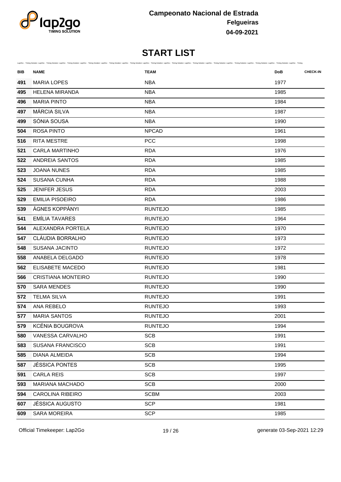

| BIB | <b>NAME</b>               | Lap2Go - Timing Solution Lap2Go - Timing Solution Lap2Go - Timing Solution Lap2Go - Timing Solution Lap2Go - Timing Solution Lap2Go - Timing Solution Lap2Go - Timing Solution Lap2Go - Timing Solution Lap2Go - Timing Soluti<br><b>TEAM</b> | <b>DoB</b> | <b>CHECK-IN</b> |
|-----|---------------------------|-----------------------------------------------------------------------------------------------------------------------------------------------------------------------------------------------------------------------------------------------|------------|-----------------|
| 491 | <b>MARIA LOPES</b>        | <b>NBA</b>                                                                                                                                                                                                                                    | 1977       |                 |
| 495 | <b>HELENA MIRANDA</b>     | <b>NBA</b>                                                                                                                                                                                                                                    | 1985       |                 |
| 496 | <b>MARIA PINTO</b>        | <b>NBA</b>                                                                                                                                                                                                                                    | 1984       |                 |
| 497 | MÁRCIA SILVA              | <b>NBA</b>                                                                                                                                                                                                                                    | 1987       |                 |
| 499 | SÓNIA SOUSA               | <b>NBA</b>                                                                                                                                                                                                                                    | 1990       |                 |
| 504 | <b>ROSA PINTO</b>         | <b>NPCAD</b>                                                                                                                                                                                                                                  | 1961       |                 |
| 516 | <b>RITA MESTRE</b>        | <b>PCC</b>                                                                                                                                                                                                                                    | 1998       |                 |
| 521 | <b>CARLA MARTINHO</b>     | <b>RDA</b>                                                                                                                                                                                                                                    | 1976       |                 |
| 522 | ANDREIA SANTOS            | <b>RDA</b>                                                                                                                                                                                                                                    | 1985       |                 |
| 523 | <b>JOANA NUNES</b>        | <b>RDA</b>                                                                                                                                                                                                                                    | 1985       |                 |
| 524 | <b>SUSANA CUNHA</b>       | <b>RDA</b>                                                                                                                                                                                                                                    | 1988       |                 |
| 525 | <b>JENIFER JESUS</b>      | <b>RDA</b>                                                                                                                                                                                                                                    | 2003       |                 |
| 529 | <b>EMILIA PISOEIRO</b>    | <b>RDA</b>                                                                                                                                                                                                                                    | 1986       |                 |
| 539 | ÁGNES KOPPÁNYI            | <b>RUNTEJO</b>                                                                                                                                                                                                                                | 1985       |                 |
| 541 | EMÍLIA TAVARES            | <b>RUNTEJO</b>                                                                                                                                                                                                                                | 1964       |                 |
| 544 | ALEXANDRA PORTELA         | <b>RUNTEJO</b>                                                                                                                                                                                                                                | 1970       |                 |
| 547 | CLÁUDIA BORRALHO          | <b>RUNTEJO</b>                                                                                                                                                                                                                                | 1973       |                 |
| 548 | <b>SUSANA JACINTO</b>     | <b>RUNTEJO</b>                                                                                                                                                                                                                                | 1972       |                 |
| 558 | ANABELA DELGADO           | <b>RUNTEJO</b>                                                                                                                                                                                                                                | 1978       |                 |
| 562 | ELISABETE MACEDO          | <b>RUNTEJO</b>                                                                                                                                                                                                                                | 1981       |                 |
| 566 | <b>CRISTIANA MONTEIRO</b> | <b>RUNTEJO</b>                                                                                                                                                                                                                                | 1990       |                 |
| 570 | <b>SARA MENDES</b>        | <b>RUNTEJO</b>                                                                                                                                                                                                                                | 1990       |                 |
| 572 | <b>TELMA SILVA</b>        | <b>RUNTEJO</b>                                                                                                                                                                                                                                | 1991       |                 |
| 574 | ANA REBELO                | <b>RUNTEJO</b>                                                                                                                                                                                                                                | 1993       |                 |
| 577 | <b>MARIA SANTOS</b>       | <b>RUNTEJO</b>                                                                                                                                                                                                                                | 2001       |                 |
| 579 | KCÉNIA BOUGROVA           | <b>RUNTEJO</b>                                                                                                                                                                                                                                | 1994       |                 |
| 580 | VANESSA CARVALHO          | <b>SCB</b>                                                                                                                                                                                                                                    | 1991       |                 |
| 583 | SUSANA FRANCISCO          | <b>SCB</b>                                                                                                                                                                                                                                    | 1991       |                 |
| 585 | DIANA ALMEIDA             | <b>SCB</b>                                                                                                                                                                                                                                    | 1994       |                 |
| 587 | <b>JÉSSICA PONTES</b>     | <b>SCB</b>                                                                                                                                                                                                                                    | 1995       |                 |
| 591 | <b>CARLA REIS</b>         | <b>SCB</b>                                                                                                                                                                                                                                    | 1997       |                 |
| 593 | MARIANA MACHADO           | <b>SCB</b>                                                                                                                                                                                                                                    | 2000       |                 |
| 594 | CAROLINA RIBEIRO          | <b>SCBM</b>                                                                                                                                                                                                                                   | 2003       |                 |
| 607 | JÉSSICA AUGUSTO           | <b>SCP</b>                                                                                                                                                                                                                                    | 1981       |                 |
| 609 | <b>SARA MOREIRA</b>       | <b>SCP</b>                                                                                                                                                                                                                                    | 1985       |                 |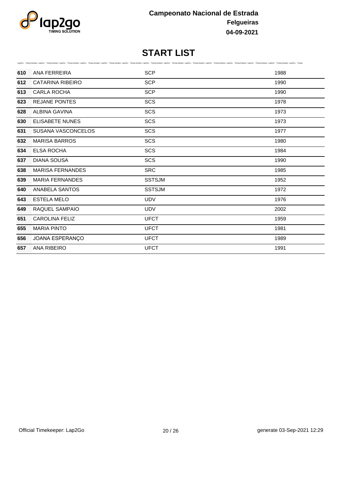

|     |                           | Lap2Go - Timing Solution Lap2Go - Timing Solution Lap2Go - Timing Solution Lap2Go - Timing Solution Lap2Go - Timing Solution Lap2Go - Timing Solution Lap2Go - Timing Solution Lap2Go - Timing Solution Lap2Go - Timing Soluti |      |
|-----|---------------------------|--------------------------------------------------------------------------------------------------------------------------------------------------------------------------------------------------------------------------------|------|
| 610 | ANA FERREIRA              | <b>SCP</b>                                                                                                                                                                                                                     | 1988 |
| 612 | <b>CATARINA RIBEIRO</b>   | <b>SCP</b>                                                                                                                                                                                                                     | 1990 |
| 613 | <b>CARLA ROCHA</b>        | <b>SCP</b>                                                                                                                                                                                                                     | 1990 |
| 623 | <b>REJANE PONTES</b>      | <b>SCS</b>                                                                                                                                                                                                                     | 1978 |
| 628 | <b>ALBINA GAVINA</b>      | <b>SCS</b>                                                                                                                                                                                                                     | 1973 |
| 630 | <b>ELISABETE NUNES</b>    | <b>SCS</b>                                                                                                                                                                                                                     | 1973 |
| 631 | <b>SUSANA VASCONCELOS</b> | SCS                                                                                                                                                                                                                            | 1977 |
| 632 | <b>MARISA BARROS</b>      | SCS                                                                                                                                                                                                                            | 1980 |
| 634 | <b>ELSA ROCHA</b>         | SCS                                                                                                                                                                                                                            | 1984 |
| 637 | <b>DIANA SOUSA</b>        | SCS                                                                                                                                                                                                                            | 1990 |
| 638 | <b>MARISA FERNANDES</b>   | <b>SRC</b>                                                                                                                                                                                                                     | 1985 |
| 639 | <b>MARIA FERNANDES</b>    | <b>SSTSJM</b>                                                                                                                                                                                                                  | 1952 |
| 640 | <b>ANABELA SANTOS</b>     | <b>SSTSJM</b>                                                                                                                                                                                                                  | 1972 |
| 643 | <b>ESTELA MELO</b>        | <b>UDV</b>                                                                                                                                                                                                                     | 1976 |
| 649 | RAQUEL SAMPAIO            | <b>UDV</b>                                                                                                                                                                                                                     | 2002 |
| 651 | <b>CAROLINA FELIZ</b>     | <b>UFCT</b>                                                                                                                                                                                                                    | 1959 |
| 655 | <b>MARIA PINTO</b>        | <b>UFCT</b>                                                                                                                                                                                                                    | 1981 |
| 656 | JOANA ESPERANÇO           | <b>UFCT</b>                                                                                                                                                                                                                    | 1989 |
| 657 | <b>ANA RIBEIRO</b>        | <b>UFCT</b>                                                                                                                                                                                                                    | 1991 |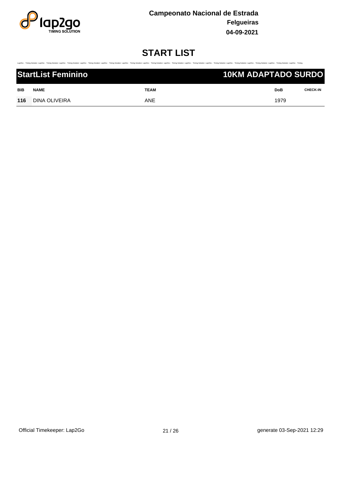

.<br>Timing Solufon Lap2Go - Timing Solution Lap2Go - Timing Solution Lap2Go - Timing Tolution Lap2Go - Timing Solution Lap2Go - Timing Solution Lap2Go - Timing Solution Lap2Go - Timing Solution Lap2Go - Timing Solution Lap2G

| <b>StartList Feminino</b> |               | <b>10KM ADAPTADO SURDO</b> |  |      |                 |
|---------------------------|---------------|----------------------------|--|------|-----------------|
| <b>BIB</b>                | <b>NAME</b>   | <b>TEAM</b>                |  | DoB  | <b>CHECK-IN</b> |
| 116                       | DINA OLIVEIRA | ANE                        |  | 1979 |                 |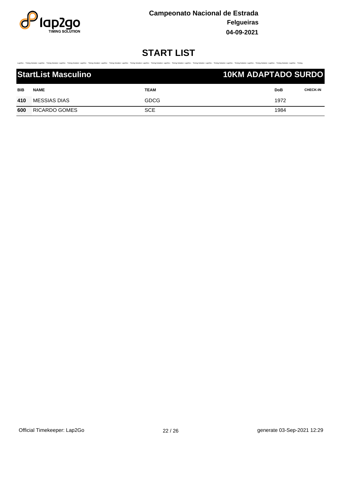

.<br>30 Timing Saluton Lap2Go Timing Salution Lap2Go Timing Salution Lap2Go Timing Salution Lap2Go Timing Salution Lap2Go Timing Salution Lap2Go Timing Salution Lap2Go Timing Salution Lap2Go Timing Salution Lap2Go Timing Salu

|            | <b>StartList Masculino</b> |             | <b>10KM ADAPTADO SURDO</b> |            |                 |
|------------|----------------------------|-------------|----------------------------|------------|-----------------|
| <b>BIB</b> | <b>NAME</b>                | <b>TEAM</b> |                            | <b>DoB</b> | <b>CHECK-IN</b> |
| 410        | <b>MESSIAS DIAS</b>        | <b>GDCG</b> |                            | 1972       |                 |
| 600        | RICARDO GOMES              | <b>SCE</b>  |                            | 1984       |                 |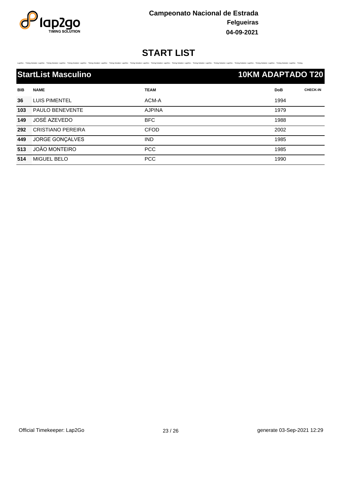

Timing Solution Lap2Go - Timing Solution Lap2Go - Timing Solution Lap2Go - Timing Solution Lap2Go - Timing Solution Lap2Go - Timing Solution Lap2Go - Timing Solution Lap2Go - Timing Solution Lap2Go - Timing Solution Lap2Go

| <b>StartList Masculino</b> |      | <b>10KM ADAPTADO T20</b> |                 |
|----------------------------|------|--------------------------|-----------------|
| <b>BIB</b><br><b>NAME</b>  | TEAM | DoB                      | <b>CHECK-IN</b> |

| 36  | LUIS PIMENTEL          | ACM-A         | 1994 |
|-----|------------------------|---------------|------|
| 103 | <b>PAULO BENEVENTE</b> | <b>AJPINA</b> | 1979 |
| 149 | JOSÉ AZEVEDO           | <b>BFC</b>    | 1988 |
| 292 | CRISTIANO PEREIRA      | <b>CFOD</b>   | 2002 |
| 449 | JORGE GONÇALVES        | <b>IND</b>    | 1985 |
| 513 | JOÃO MONTEIRO          | <b>PCC</b>    | 1985 |
| 514 | MIGUEL BELO            | <b>PCC</b>    | 1990 |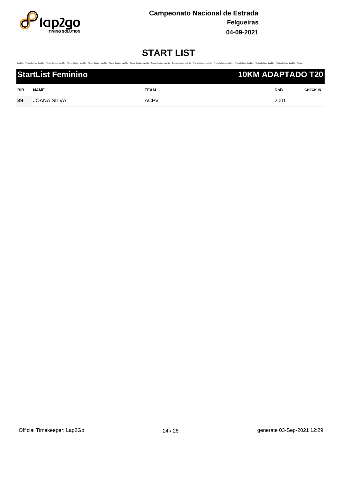

Timing Solution Lap2Go - Timing Solution Lap2Go - Timing Solution Lap2Go - Timing Solution Lap2Go - Timing Solution Lap2Go - Timing Solution Lap2Go - Timing Solution Lap2Go - Timing Solution Lap2Go - Timing Solution Lap2Go

| <b>StartList Feminino</b> |                    |             | <b>10KM ADAPTADO T20</b> |            |                 |
|---------------------------|--------------------|-------------|--------------------------|------------|-----------------|
| BIB                       | <b>NAME</b>        | <b>TEAM</b> |                          | <b>DoB</b> | <b>CHECK-IN</b> |
| 39                        | <b>JOANA SILVA</b> | <b>ACPV</b> |                          | 2001       |                 |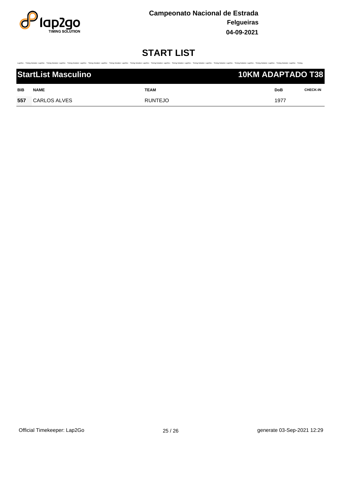

.<br>Timing Solufon Lap2Go - Timing Solution Lap2Go - Timing Solution Lap2Go - Timing Tolution Lap2Go - Timing Solution Lap2Go - Timing Solution Lap2Go - Timing Solution Lap2Go - Timing Solution Lap2Go - Timing Solution Lap2G

|     | <b>StartList Masculino</b> |                | 10KM ADAPTADO T38 |      |                 |  |
|-----|----------------------------|----------------|-------------------|------|-----------------|--|
| BIB | <b>NAME</b>                | TEAM           |                   | DoB  | <b>CHECK-IN</b> |  |
| 557 | CARLOS ALVES               | <b>RUNTEJO</b> |                   | 1977 |                 |  |